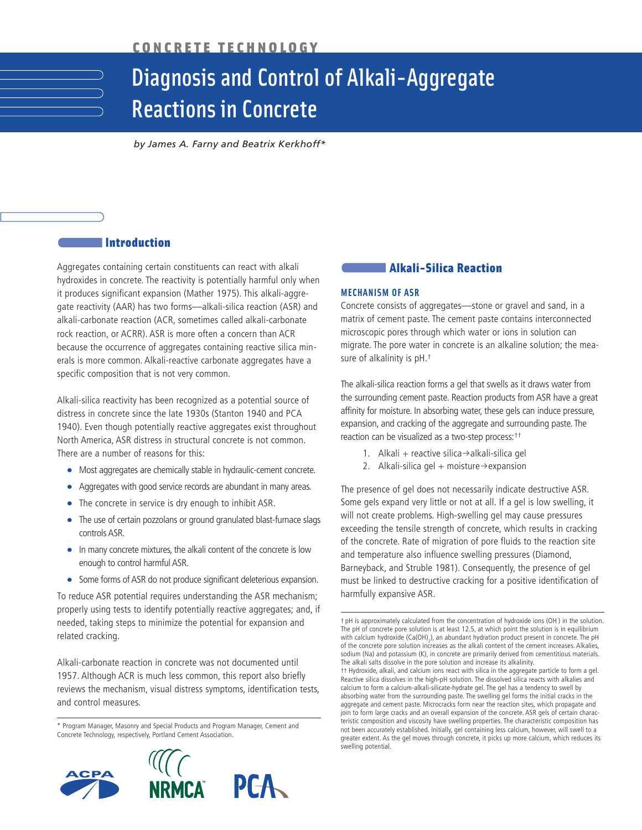# Diagnosis and Control of Alkali-Aggregate Reactions in Concrete

*by James A. Farny and Beatrix Kerkhoff\** 

# **Introduction**

Aggregates containing certain constituents can react with alkali hydroxides in concrete. The reactivity is potentially harmful only when it produces significant expansion (Mather 1975). This alkali-aggregate reactivity (AAR) has two forms—alkali-silica reaction (ASR) and alkali-carbonate reaction (ACR, sometimes called alkali-carbonate rock reaction, or ACRR). ASR is more often a concern than ACR because the occurrence of aggregates containing reactive silica minerals is more common. Alkali-reactive carbonate aggregates have a specific composition that is not very common.

Alkali-silica reactivity has been recognized as a potential source of distress in concrete since the late 1930s (Stanton 1940 and PCA 1940). Even though potentially reactive aggregates exist throughout North America, ASR distress in structural concrete is not common. There are a number of reasons for this:

- Most aggregates are chemically stable in hydraulic-cement concrete.
- Aggregates with good service records are abundant in many areas.
- The concrete in service is dry enough to inhibit ASR.
- The use of certain pozzolans or ground granulated blast-furnace slags controls ASR.
- In many concrete mixtures, the alkali content of the concrete is low enough to control harmful ASR.
- Some forms of ASR do not produce significant deleterious expansion.

To reduce ASR potential requires understanding the ASR mechanism; properly using tests to identify potentially reactive aggregates; and, if needed, taking steps to minimize the potential for expansion and related cracking.

Alkali-carbonate reaction in concrete was not documented until 1957. Although ACR is much less common, this report also briefly reviews the mechanism, visual distress symptoms, identification tests, and control measures.

\* Program Manager, Masonry and Special Products and Program Manager, Cement and Concrete Technology, respectively, Portland Cement Association.



## **Alkali-Silica Reaction**

#### **MECHANISM OF ASR**

Concrete consists of aggregates—stone or gravel and sand, in a matrix of cement paste. The cement paste contains interconnected microscopic pores through which water or ions in solution can migrate. The pore water in concrete is an alkaline solution; the measure of alkalinity is pH.†

The alkali-silica reaction forms a gel that swells as it draws water from the surrounding cement paste. Reaction products from ASR have a great affinity for moisture. In absorbing water, these gels can induce pressure, expansion, and cracking of the aggregate and surrounding paste. The reaction can be visualized as a two-step process:††

- 1. Alkali + reactive silica $\rightarrow$ alkali-silica gel
- 2. Alkali-silica gel  $+$  moisture $\rightarrow$ expansion

The presence of gel does not necessarily indicate destructive ASR. Some gels expand very little or not at all. If a gel is low swelling, it will not create problems. High-swelling gel may cause pressures exceeding the tensile strength of concrete, which results in cracking of the concrete. Rate of migration of pore fluids to the reaction site and temperature also influence swelling pressures (Diamond, Barneyback, and Struble 1981). Consequently, the presence of gel must be linked to destructive cracking for a positive identification of harmfully expansive ASR.

†† Hydroxide, alkali, and calcium ions react with silica in the aggregate particle to form a gel. Reactive silica dissolves in the high-pH solution. The dissolved silica reacts with alkalies and calcium to form a calcium-alkali-silicate-hydrate gel. The gel has a tendency to swell by absorbing water from the surrounding paste. The swelling gel forms the initial cracks in the aggregate and cement paste. Microcracks form near the reaction sites, which propagate and join to form large cracks and an overall expansion of the concrete. ASR gels of certain characteristic composition and viscosity have swelling properties. The characteristic composition has not been accurately established. Initially, gel containing less calcium, however, will swell to a greater extent. As the gel moves through concrete, it picks up more calcium, which reduces its swelling potential.

<sup>†</sup> pH is approximately calculated from the concentration of hydroxide ions (OH- ) in the solution. The pH of concrete pore solution is at least 12.5, at which point the solution is in equilibrium with calcium hydroxide (Ca(OH)<sub>2</sub>), an abundant hydration product present in concrete. The pH of the concrete pore solution increases as the alkali content of the cement increases. Alkalies, sodium (Na) and potassium (K), in concrete are primarily derived from cementitious materials. The alkali salts dissolve in the pore solution and increase its alkalinity.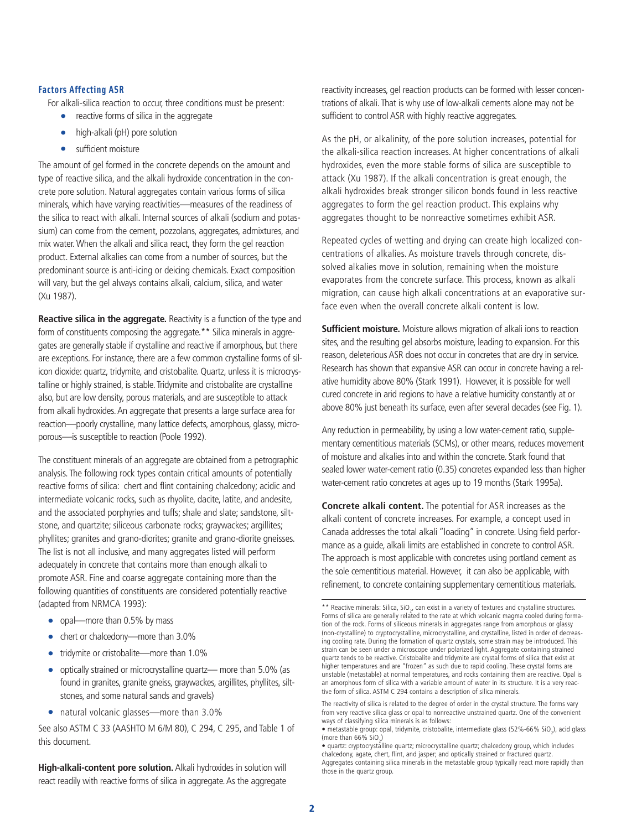#### **Factors Affecting ASR**

For alkali-silica reaction to occur, three conditions must be present:

- reactive forms of silica in the aggregate
- high-alkali (pH) pore solution
- sufficient moisture

The amount of gel formed in the concrete depends on the amount and type of reactive silica, and the alkali hydroxide concentration in the concrete pore solution. Natural aggregates contain various forms of silica minerals, which have varying reactivities—measures of the readiness of the silica to react with alkali. Internal sources of alkali (sodium and potassium) can come from the cement, pozzolans, aggregates, admixtures, and mix water. When the alkali and silica react, they form the gel reaction product. External alkalies can come from a number of sources, but the predominant source is anti-icing or deicing chemicals. Exact composition will vary, but the gel always contains alkali, calcium, silica, and water (Xu 1987).

**Reactive silica in the aggregate.** Reactivity is a function of the type and form of constituents composing the aggregate.\*\* Silica minerals in aggregates are generally stable if crystalline and reactive if amorphous, but there are exceptions. For instance, there are a few common crystalline forms of silicon dioxide: quartz, tridymite, and cristobalite. Quartz, unless it is microcrystalline or highly strained, is stable. Tridymite and cristobalite are crystalline also, but are low density, porous materials, and are susceptible to attack from alkali hydroxides. An aggregate that presents a large surface area for reaction—poorly crystalline, many lattice defects, amorphous, glassy, microporous—is susceptible to reaction (Poole 1992).

The constituent minerals of an aggregate are obtained from a petrographic analysis. The following rock types contain critical amounts of potentially reactive forms of silica: chert and flint containing chalcedony; acidic and intermediate volcanic rocks, such as rhyolite, dacite, latite, and andesite, and the associated porphyries and tuffs; shale and slate; sandstone, siltstone, and quartzite; siliceous carbonate rocks; graywackes; argillites; phyllites; granites and grano-diorites; granite and grano-diorite gneisses. The list is not all inclusive, and many aggregates listed will perform adequately in concrete that contains more than enough alkali to promote ASR. Fine and coarse aggregate containing more than the following quantities of constituents are considered potentially reactive (adapted from NRMCA 1993):

- opal—more than 0.5% by mass
- chert or chalcedony—more than 3.0%
- tridymite or cristobalite—more than 1.0%
- optically strained or microcrystalline quartz— more than 5.0% (as found in granites, granite gneiss, graywackes, argillites, phyllites, siltstones, and some natural sands and gravels)
- natural volcanic glasses—more than 3.0%

See also ASTM C 33 (AASHTO M 6/M 80), C 294, C 295, and Table 1 of this document.

**High-alkali-content pore solution.** Alkali hydroxides in solution will react readily with reactive forms of silica in aggregate. As the aggregate

reactivity increases, gel reaction products can be formed with lesser concentrations of alkali.That is why use of low-alkali cements alone may not be sufficient to control ASR with highly reactive aggregates.

As the pH, or alkalinity, of the pore solution increases, potential for the alkali-silica reaction increases. At higher concentrations of alkali hydroxides, even the more stable forms of silica are susceptible to attack (Xu 1987). If the alkali concentration is great enough, the alkali hydroxides break stronger silicon bonds found in less reactive aggregates to form the gel reaction product. This explains why aggregates thought to be nonreactive sometimes exhibit ASR.

Repeated cycles of wetting and drying can create high localized concentrations of alkalies. As moisture travels through concrete, dissolved alkalies move in solution, remaining when the moisture evaporates from the concrete surface. This process, known as alkali migration, can cause high alkali concentrations at an evaporative surface even when the overall concrete alkali content is low.

**Sufficient moisture.** Moisture allows migration of alkali ions to reaction sites, and the resulting gel absorbs moisture, leading to expansion. For this reason, deleterious ASR does not occur in concretes that are dry in service. Research has shown that expansive ASR can occur in concrete having a relative humidity above 80% (Stark 1991). However, it is possible for well cured concrete in arid regions to have a relative humidity constantly at or above 80% just beneath its surface, even after several decades (see Fig. 1).

Any reduction in permeability, by using a low water-cement ratio, supplementary cementitious materials (SCMs), or other means, reduces movement of moisture and alkalies into and within the concrete. Stark found that sealed lower water-cement ratio (0.35) concretes expanded less than higher water-cement ratio concretes at ages up to 19 months (Stark 1995a).

**Concrete alkali content.** The potential for ASR increases as the alkali content of concrete increases. For example, a concept used in Canada addresses the total alkali "loading" in concrete. Using field performance as a guide, alkali limits are established in concrete to control ASR. The approach is most applicable with concretes using portland cement as the sole cementitious material. However, it can also be applicable, with refinement, to concrete containing supplementary cementitious materials.

<sup>\*\*</sup> Reactive minerals: Silica, SiO<sub>2</sub>, can exist in a variety of textures and crystalline structures. Forms of silica are generally related to the rate at which volcanic magma cooled during formation of the rock. Forms of siliceous minerals in aggregates range from amorphous or glassy (non-crystalline) to cryptocrystalline, microcrystalline, and crystalline, listed in order of decreasing cooling rate. During the formation of quartz crystals, some strain may be introduced. This strain can be seen under a microscope under polarized light. Aggregate containing strained quartz tends to be reactive. Cristobalite and tridymite are crystal forms of silica that exist at higher temperatures and are "frozen" as such due to rapid cooling. These crystal forms are unstable (metastable) at normal temperatures, and rocks containing them are reactive. Opal is an amorphous form of silica with a variable amount of water in its structure. It is a very reactive form of silica. ASTM C 294 contains a description of silica minerals.

The reactivity of silica is related to the degree of order in the crystal structure. The forms vary from very reactive silica glass or opal to nonreactive unstrained quartz. One of the convenient ways of classifying silica minerals is as follows:

 $\bullet$  metastable group: opal, tridymite, cristobalite, intermediate glass (52%-66% SiO<sub>2</sub>), acid glass (more than  $66\%$  SiO<sub>2</sub>)

<sup>•</sup> quartz: cryptocrystalline quartz; microcrystalline quartz; chalcedony group, which includes chalcedony, agate, chert, flint, and jasper; and optically strained or fractured quartz. Aggregates containing silica minerals in the metastable group typically react more rapidly than those in the quartz group.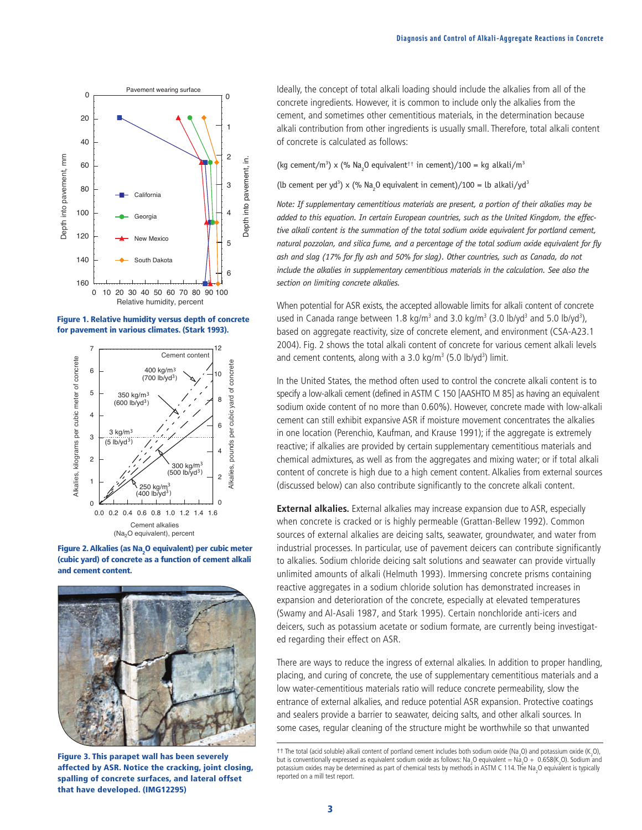

**Figure 1. Relative humidity versus depth of concrete for pavement in various climates. (Stark 1993).**



**Figure 2. Alkalies (as Na2 O equivalent) per cubic meter (cubic yard) of concrete as a function of cement alkali and cement content.**



**Figure 3. This parapet wall has been severely affected by ASR. Notice the cracking, joint closing, spalling of concrete surfaces, and lateral offset that have developed. (IMG12295)**

Ideally, the concept of total alkali loading should include the alkalies from all of the concrete ingredients. However, it is common to include only the alkalies from the cement, and sometimes other cementitious materials, in the determination because alkali contribution from other ingredients is usually small. Therefore, total alkali content of concrete is calculated as follows:

(kg cement/m<sup>3</sup>) x (% Na<sub>2</sub>0 equivalent<sup>++</sup> in cement)/100 = kg alkali/m<sup>3</sup>

(lb cement per yd<sup>3</sup>) x (% Na<sub>2</sub>0 equivalent in cement)/100 = lb alkali/yd<sup>3</sup>

*Note: If supplementary cementitious materials are present, a portion of their alkalies may be added to this equation. In certain European countries, such as the United Kingdom, the effective alkali content is the summation of the total sodium oxide equivalent for portland cement, natural pozzolan, and silica fume, and a percentage of the total sodium oxide equivalent for fly ash and slag (17% for fly ash and 50% for slag). Other countries, such as Canada, do not include the alkalies in supplementary cementitious materials in the calculation. See also the section on limiting concrete alkalies.*

When potential for ASR exists, the accepted allowable limits for alkali content of concrete used in Canada range between 1.8 kg/m<sup>3</sup> and 3.0 kg/m<sup>3</sup> (3.0 lb/yd<sup>3</sup> and 5.0 lb/yd<sup>3</sup>), based on aggregate reactivity, size of concrete element, and environment (CSA-A23.1 2004). Fig. 2 shows the total alkali content of concrete for various cement alkali levels and cement contents, along with a 3.0 kg/m<sup>3</sup> (5.0 lb/yd<sup>3</sup>) limit.

In the United States, the method often used to control the concrete alkali content is to specify a low-alkali cement (defined in ASTM C 150 [AASHTO M 85] as having an equivalent sodium oxide content of no more than 0.60%). However, concrete made with low-alkali cement can still exhibit expansive ASR if moisture movement concentrates the alkalies in one location (Perenchio, Kaufman, and Krause 1991); if the aggregate is extremely reactive; if alkalies are provided by certain supplementary cementitious materials and chemical admixtures, as well as from the aggregates and mixing water; or if total alkali content of concrete is high due to a high cement content. Alkalies from external sources (discussed below) can also contribute significantly to the concrete alkali content.

**External alkalies.** External alkalies may increase expansion due to ASR, especially when concrete is cracked or is highly permeable (Grattan-Bellew 1992). Common sources of external alkalies are deicing salts, seawater, groundwater, and water from industrial processes. In particular, use of pavement deicers can contribute significantly to alkalies. Sodium chloride deicing salt solutions and seawater can provide virtually unlimited amounts of alkali (Helmuth 1993). Immersing concrete prisms containing reactive aggregates in a sodium chloride solution has demonstrated increases in expansion and deterioration of the concrete, especially at elevated temperatures (Swamy and Al-Asali 1987, and Stark 1995). Certain nonchloride anti-icers and deicers, such as potassium acetate or sodium formate, are currently being investigated regarding their effect on ASR.

There are ways to reduce the ingress of external alkalies. In addition to proper handling, placing, and curing of concrete, the use of supplementary cementitious materials and a low water-cementitious materials ratio will reduce concrete permeability, slow the entrance of external alkalies, and reduce potential ASR expansion. Protective coatings and sealers provide a barrier to seawater, deicing salts, and other alkali sources. In some cases, regular cleaning of the structure might be worthwhile so that unwanted

<sup>††</sup> The total (acid soluble) alkali content of portland cement includes both sodium oxide (Na<sub>2</sub>O) and potassium oxide (K<sub>2</sub>O), but is conventionally expressed as equivalent sodium oxide as follows: Na<sub>2</sub>O equivalent = Na<sub>2</sub>O + 0.658(K<sub>2</sub>O). Sodium and potassium oxides may be determined as part of chemical tests by methods in ASTM C 114. The Na<sub>2</sub>O equivalent is typically reported on a mill test report.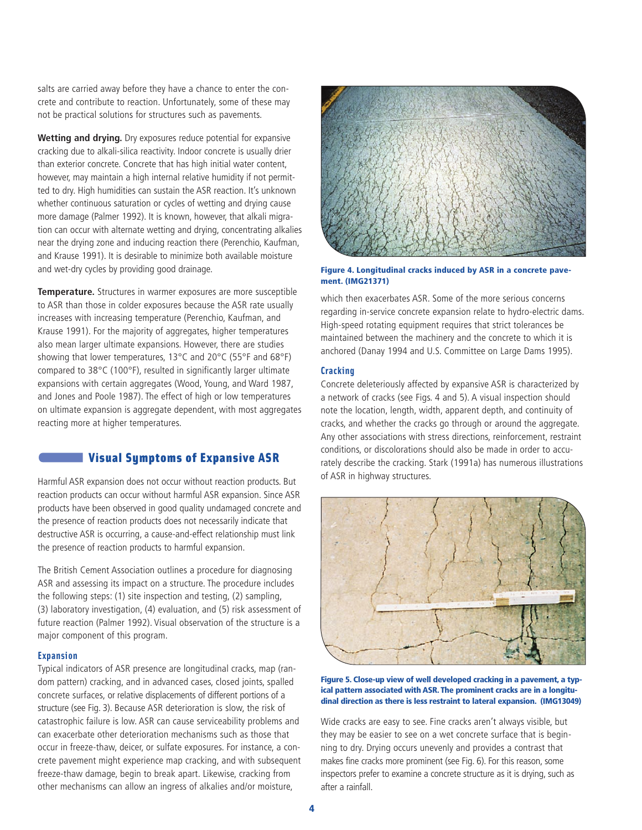salts are carried away before they have a chance to enter the concrete and contribute to reaction. Unfortunately, some of these may not be practical solutions for structures such as pavements.

**Wetting and drying.** Dry exposures reduce potential for expansive cracking due to alkali-silica reactivity. Indoor concrete is usually drier than exterior concrete. Concrete that has high initial water content, however, may maintain a high internal relative humidity if not permitted to dry. High humidities can sustain the ASR reaction. It's unknown whether continuous saturation or cycles of wetting and drying cause more damage (Palmer 1992). It is known, however, that alkali migration can occur with alternate wetting and drying, concentrating alkalies near the drying zone and inducing reaction there (Perenchio, Kaufman, and Krause 1991). It is desirable to minimize both available moisture and wet-dry cycles by providing good drainage.

**Temperature.** Structures in warmer exposures are more susceptible to ASR than those in colder exposures because the ASR rate usually increases with increasing temperature (Perenchio, Kaufman, and Krause 1991). For the majority of aggregates, higher temperatures also mean larger ultimate expansions. However, there are studies showing that lower temperatures, 13°C and 20°C (55°F and 68°F) compared to 38°C (100°F), resulted in significantly larger ultimate expansions with certain aggregates (Wood, Young, and Ward 1987, and Jones and Poole 1987). The effect of high or low temperatures on ultimate expansion is aggregate dependent, with most aggregates reacting more at higher temperatures.

## **Visual Symptoms of Expansive ASR**

Harmful ASR expansion does not occur without reaction products. But reaction products can occur without harmful ASR expansion. Since ASR products have been observed in good quality undamaged concrete and the presence of reaction products does not necessarily indicate that destructive ASR is occurring, a cause-and-effect relationship must link the presence of reaction products to harmful expansion.

The British Cement Association outlines a procedure for diagnosing ASR and assessing its impact on a structure. The procedure includes the following steps: (1) site inspection and testing, (2) sampling, (3) laboratory investigation, (4) evaluation, and (5) risk assessment of future reaction (Palmer 1992). Visual observation of the structure is a major component of this program.

#### **Expansion**

Typical indicators of ASR presence are longitudinal cracks, map (random pattern) cracking, and in advanced cases, closed joints, spalled concrete surfaces, or relative displacements of different portions of a structure (see Fig. 3). Because ASR deterioration is slow, the risk of catastrophic failure is low. ASR can cause serviceability problems and can exacerbate other deterioration mechanisms such as those that occur in freeze-thaw, deicer, or sulfate exposures. For instance, a concrete pavement might experience map cracking, and with subsequent freeze-thaw damage, begin to break apart. Likewise, cracking from other mechanisms can allow an ingress of alkalies and/or moisture,



**Figure 4. Longitudinal cracks induced by ASR in a concrete pavement. (IMG21371)**

which then exacerbates ASR. Some of the more serious concerns regarding in-service concrete expansion relate to hydro-electric dams. High-speed rotating equipment requires that strict tolerances be maintained between the machinery and the concrete to which it is anchored (Danay 1994 and U.S. Committee on Large Dams 1995).

#### **Cracking**

Concrete deleteriously affected by expansive ASR is characterized by a network of cracks (see Figs. 4 and 5). A visual inspection should note the location, length, width, apparent depth, and continuity of cracks, and whether the cracks go through or around the aggregate. Any other associations with stress directions, reinforcement, restraint conditions, or discolorations should also be made in order to accurately describe the cracking. Stark (1991a) has numerous illustrations of ASR in highway structures.



**Figure 5. Close-up view of well developed cracking in a pavement, a typical pattern associated with ASR. The prominent cracks are in a longitudinal direction as there is less restraint to lateral expansion. (IMG13049)**

Wide cracks are easy to see. Fine cracks aren't always visible, but they may be easier to see on a wet concrete surface that is beginning to dry. Drying occurs unevenly and provides a contrast that makes fine cracks more prominent (see Fig. 6). For this reason, some inspectors prefer to examine a concrete structure as it is drying, such as after a rainfall.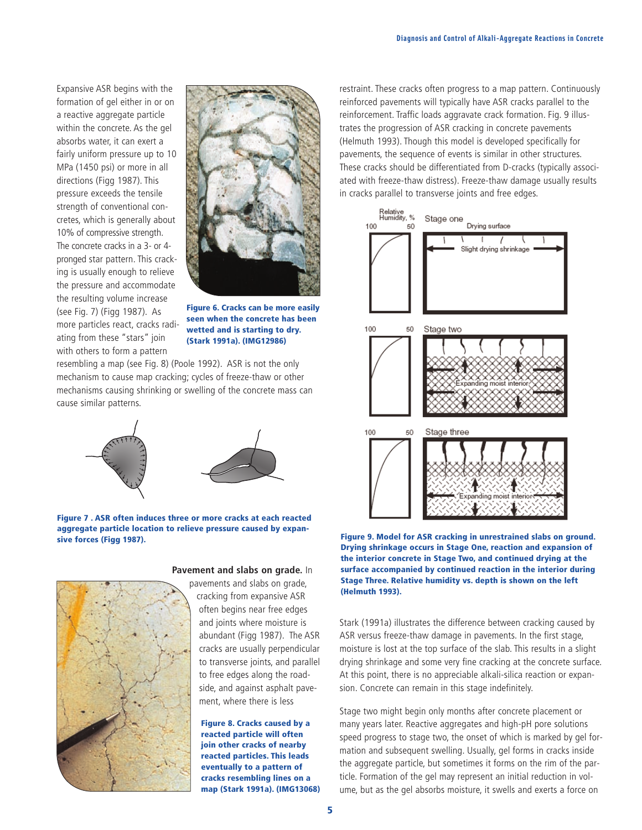Expansive ASR begins with the formation of gel either in or on a reactive aggregate particle within the concrete. As the gel absorbs water, it can exert a fairly uniform pressure up to 10 MPa (1450 psi) or more in all directions (Figg 1987). This pressure exceeds the tensile strength of conventional concretes, which is generally about 10% of compressive strength. The concrete cracks in a 3- or 4 pronged star pattern. This cracking is usually enough to relieve the pressure and accommodate the resulting volume increase (see Fig. 7) (Figg 1987). As more particles react, cracks radiating from these "stars" join with others to form a pattern



**Figure 6. Cracks can be more easily seen when the concrete has been wetted and is starting to dry. (Stark 1991a). (IMG12986)** 

resembling a map (see Fig. 8) (Poole 1992). ASR is not the only mechanism to cause map cracking; cycles of freeze-thaw or other mechanisms causing shrinking or swelling of the concrete mass can cause similar patterns.





#### **Figure 7 . ASR often induces three or more cracks at each reacted aggregate particle location to relieve pressure caused by expansive forces (Figg 1987).**



# **Pavement and slabs on grade.** In

pavements and slabs on grade, cracking from expansive ASR often begins near free edges and joints where moisture is abundant (Figg 1987). The ASR cracks are usually perpendicular to transverse joints, and parallel to free edges along the roadside, and against asphalt pavement, where there is less

**Figure 8. Cracks caused by a reacted particle will often join other cracks of nearby reacted particles. This leads eventually to a pattern of cracks resembling lines on a map (Stark 1991a). (IMG13068)** 

restraint. These cracks often progress to a map pattern. Continuously reinforced pavements will typically have ASR cracks parallel to the reinforcement. Traffic loads aggravate crack formation. Fig. 9 illustrates the progression of ASR cracking in concrete pavements (Helmuth 1993). Though this model is developed specifically for pavements, the sequence of events is similar in other structures. These cracks should be differentiated from D-cracks (typically associated with freeze-thaw distress). Freeze-thaw damage usually results in cracks parallel to transverse joints and free edges.



**Figure 9. Model for ASR cracking in unrestrained slabs on ground. Drying shrinkage occurs in Stage One, reaction and expansion of the interior concrete in Stage Two, and continued drying at the surface accompanied by continued reaction in the interior during Stage Three. Relative humidity vs. depth is shown on the left (Helmuth 1993).**

Stark (1991a) illustrates the difference between cracking caused by ASR versus freeze-thaw damage in pavements. In the first stage, moisture is lost at the top surface of the slab. This results in a slight drying shrinkage and some very fine cracking at the concrete surface. At this point, there is no appreciable alkali-silica reaction or expansion. Concrete can remain in this stage indefinitely.

Stage two might begin only months after concrete placement or many years later. Reactive aggregates and high-pH pore solutions speed progress to stage two, the onset of which is marked by gel formation and subsequent swelling. Usually, gel forms in cracks inside the aggregate particle, but sometimes it forms on the rim of the particle. Formation of the gel may represent an initial reduction in volume, but as the gel absorbs moisture, it swells and exerts a force on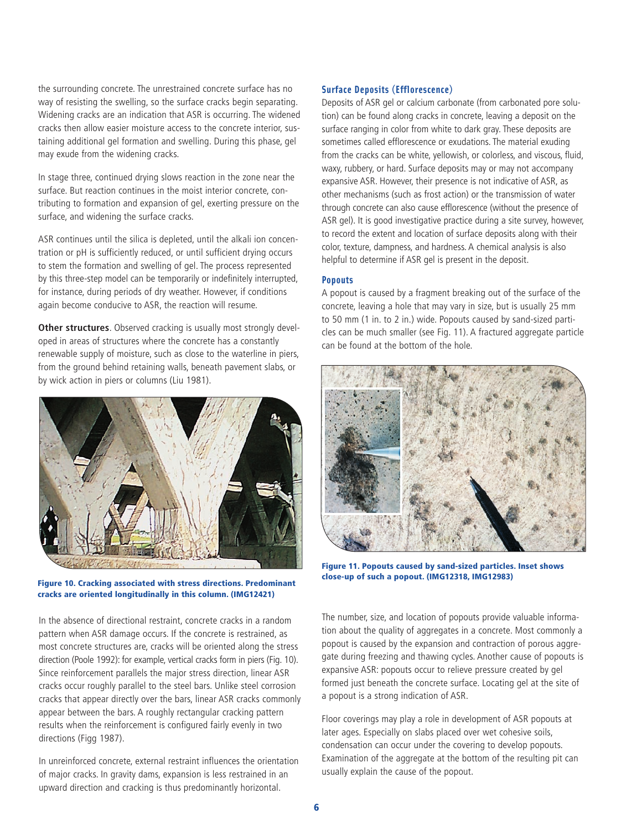the surrounding concrete. The unrestrained concrete surface has no way of resisting the swelling, so the surface cracks begin separating. Widening cracks are an indication that ASR is occurring. The widened cracks then allow easier moisture access to the concrete interior, sustaining additional gel formation and swelling. During this phase, gel may exude from the widening cracks.

In stage three, continued drying slows reaction in the zone near the surface. But reaction continues in the moist interior concrete, contributing to formation and expansion of gel, exerting pressure on the surface, and widening the surface cracks.

ASR continues until the silica is depleted, until the alkali ion concentration or pH is sufficiently reduced, or until sufficient drying occurs to stem the formation and swelling of gel. The process represented by this three-step model can be temporarily or indefinitely interrupted, for instance, during periods of dry weather. However, if conditions again become conducive to ASR, the reaction will resume.

**Other structures**. Observed cracking is usually most strongly developed in areas of structures where the concrete has a constantly renewable supply of moisture, such as close to the waterline in piers, from the ground behind retaining walls, beneath pavement slabs, or by wick action in piers or columns (Liu 1981).



**close-up of such a popout. (IMG12318, IMG12983) Figure 10. Cracking associated with stress directions. Predominant cracks are oriented longitudinally in this column. (IMG12421)**

In the absence of directional restraint, concrete cracks in a random pattern when ASR damage occurs. If the concrete is restrained, as most concrete structures are, cracks will be oriented along the stress direction (Poole 1992): for example, vertical cracks form in piers (Fig. 10). Since reinforcement parallels the major stress direction, linear ASR cracks occur roughly parallel to the steel bars. Unlike steel corrosion cracks that appear directly over the bars, linear ASR cracks commonly appear between the bars. A roughly rectangular cracking pattern results when the reinforcement is configured fairly evenly in two directions (Figg 1987).

In unreinforced concrete, external restraint influences the orientation of major cracks. In gravity dams, expansion is less restrained in an upward direction and cracking is thus predominantly horizontal.

## **Surface Deposits (Efflorescence)**

Deposits of ASR gel or calcium carbonate (from carbonated pore solution) can be found along cracks in concrete, leaving a deposit on the surface ranging in color from white to dark gray. These deposits are sometimes called efflorescence or exudations. The material exuding from the cracks can be white, yellowish, or colorless, and viscous, fluid, waxy, rubbery, or hard. Surface deposits may or may not accompany expansive ASR. However, their presence is not indicative of ASR, as other mechanisms (such as frost action) or the transmission of water through concrete can also cause efflorescence (without the presence of ASR gel). It is good investigative practice during a site survey, however, to record the extent and location of surface deposits along with their color, texture, dampness, and hardness. A chemical analysis is also helpful to determine if ASR gel is present in the deposit.

#### **Popouts**

A popout is caused by a fragment breaking out of the surface of the concrete, leaving a hole that may vary in size, but is usually 25 mm to 50 mm (1 in. to 2 in.) wide. Popouts caused by sand-sized particles can be much smaller (see Fig. 11). A fractured aggregate particle can be found at the bottom of the hole.



**Figure 11. Popouts caused by sand-sized particles. Inset shows**

The number, size, and location of popouts provide valuable information about the quality of aggregates in a concrete. Most commonly a popout is caused by the expansion and contraction of porous aggregate during freezing and thawing cycles. Another cause of popouts is expansive ASR: popouts occur to relieve pressure created by gel formed just beneath the concrete surface. Locating gel at the site of a popout is a strong indication of ASR.

Floor coverings may play a role in development of ASR popouts at later ages. Especially on slabs placed over wet cohesive soils, condensation can occur under the covering to develop popouts. Examination of the aggregate at the bottom of the resulting pit can usually explain the cause of the popout.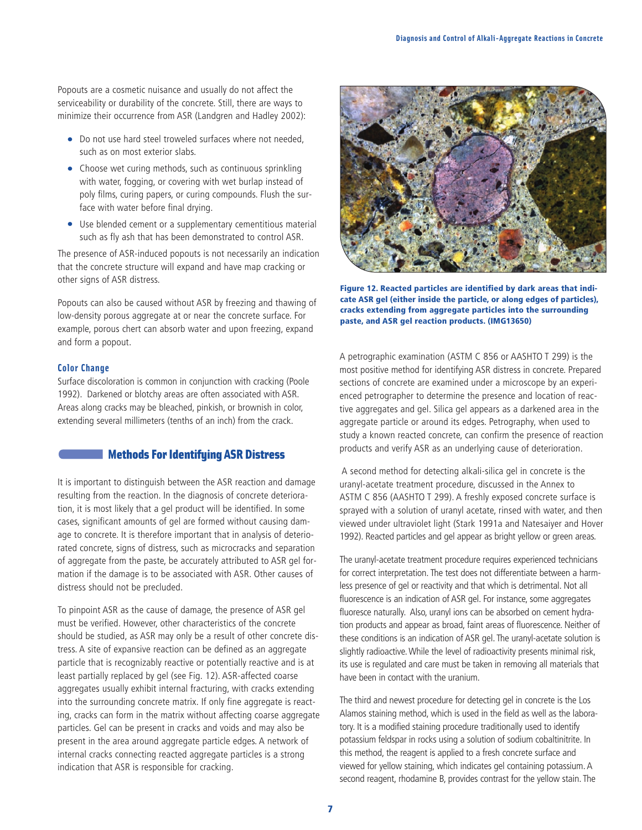Popouts are a cosmetic nuisance and usually do not affect the serviceability or durability of the concrete. Still, there are ways to minimize their occurrence from ASR (Landgren and Hadley 2002):

- Do not use hard steel troweled surfaces where not needed, such as on most exterior slabs.
- Choose wet curing methods, such as continuous sprinkling with water, fogging, or covering with wet burlap instead of poly films, curing papers, or curing compounds. Flush the surface with water before final drying.
- Use blended cement or a supplementary cementitious material such as fly ash that has been demonstrated to control ASR.

The presence of ASR-induced popouts is not necessarily an indication that the concrete structure will expand and have map cracking or other signs of ASR distress.

Popouts can also be caused without ASR by freezing and thawing of low-density porous aggregate at or near the concrete surface. For example, porous chert can absorb water and upon freezing, expand and form a popout.

#### **Color Change**

Surface discoloration is common in conjunction with cracking (Poole 1992). Darkened or blotchy areas are often associated with ASR. Areas along cracks may be bleached, pinkish, or brownish in color, extending several millimeters (tenths of an inch) from the crack.

## **Methods For Identifying ASR Distress**

It is important to distinguish between the ASR reaction and damage resulting from the reaction. In the diagnosis of concrete deterioration, it is most likely that a gel product will be identified. In some cases, significant amounts of gel are formed without causing damage to concrete. It is therefore important that in analysis of deteriorated concrete, signs of distress, such as microcracks and separation of aggregate from the paste, be accurately attributed to ASR gel formation if the damage is to be associated with ASR. Other causes of distress should not be precluded.

To pinpoint ASR as the cause of damage, the presence of ASR gel must be verified. However, other characteristics of the concrete should be studied, as ASR may only be a result of other concrete distress. A site of expansive reaction can be defined as an aggregate particle that is recognizably reactive or potentially reactive and is at least partially replaced by gel (see Fig. 12). ASR-affected coarse aggregates usually exhibit internal fracturing, with cracks extending into the surrounding concrete matrix. If only fine aggregate is reacting, cracks can form in the matrix without affecting coarse aggregate particles. Gel can be present in cracks and voids and may also be present in the area around aggregate particle edges. A network of internal cracks connecting reacted aggregate particles is a strong indication that ASR is responsible for cracking.



**Figure 12. Reacted particles are identified by dark areas that indicate ASR gel (either inside the particle, or along edges of particles), cracks extending from aggregate particles into the surrounding paste, and ASR gel reaction products. (IMG13650)**

A petrographic examination (ASTM C 856 or AASHTO T 299) is the most positive method for identifying ASR distress in concrete. Prepared sections of concrete are examined under a microscope by an experienced petrographer to determine the presence and location of reactive aggregates and gel. Silica gel appears as a darkened area in the aggregate particle or around its edges. Petrography, when used to study a known reacted concrete, can confirm the presence of reaction products and verify ASR as an underlying cause of deterioration.

A second method for detecting alkali-silica gel in concrete is the uranyl-acetate treatment procedure, discussed in the Annex to ASTM C 856 (AASHTO T 299). A freshly exposed concrete surface is sprayed with a solution of uranyl acetate, rinsed with water, and then viewed under ultraviolet light (Stark 1991a and Natesaiyer and Hover 1992). Reacted particles and gel appear as bright yellow or green areas.

The uranyl-acetate treatment procedure requires experienced technicians for correct interpretation. The test does not differentiate between a harmless presence of gel or reactivity and that which is detrimental. Not all fluorescence is an indication of ASR gel. For instance, some aggregates fluoresce naturally. Also, uranyl ions can be absorbed on cement hydration products and appear as broad, faint areas of fluorescence. Neither of these conditions is an indication of ASR gel. The uranyl-acetate solution is slightly radioactive.While the level of radioactivity presents minimal risk, its use is regulated and care must be taken in removing all materials that have been in contact with the uranium.

The third and newest procedure for detecting gel in concrete is the Los Alamos staining method, which is used in the field as well as the laboratory. It is a modified staining procedure traditionally used to identify potassium feldspar in rocks using a solution of sodium cobaltinitrite. In this method, the reagent is applied to a fresh concrete surface and viewed for yellow staining, which indicates gel containing potassium. A second reagent, rhodamine B, provides contrast for the yellow stain. The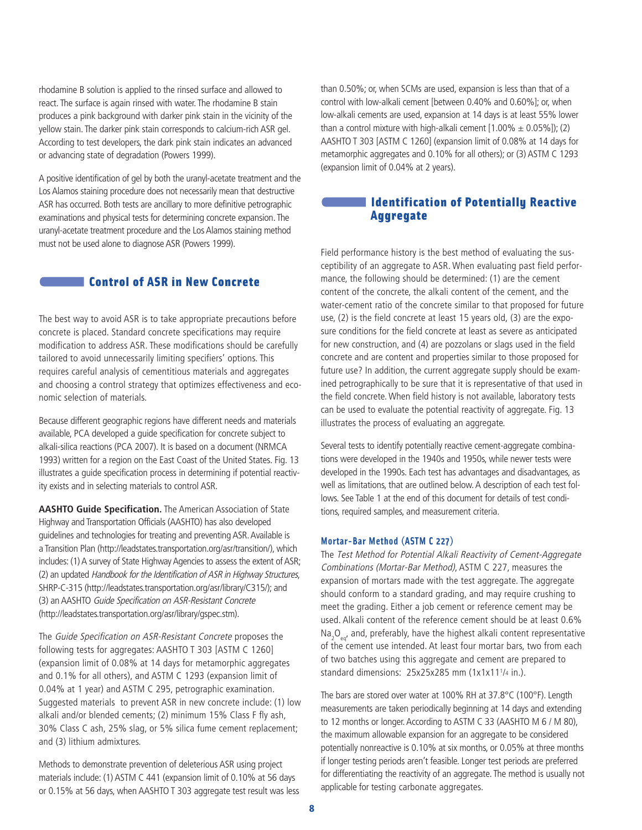rhodamine B solution is applied to the rinsed surface and allowed to react. The surface is again rinsed with water. The rhodamine B stain produces a pink background with darker pink stain in the vicinity of the yellow stain. The darker pink stain corresponds to calcium-rich ASR gel. According to test developers, the dark pink stain indicates an advanced or advancing state of degradation (Powers 1999).

A positive identification of gel by both the uranyl-acetate treatment and the Los Alamos staining procedure does not necessarily mean that destructive ASR has occurred. Both tests are ancillary to more definitive petrographic examinations and physical tests for determining concrete expansion. The uranyl-acetate treatment procedure and the Los Alamos staining method must not be used alone to diagnose ASR (Powers 1999).

# **Control of ASR in New Concrete**

The best way to avoid ASR is to take appropriate precautions before concrete is placed. Standard concrete specifications may require modification to address ASR. These modifications should be carefully tailored to avoid unnecessarily limiting specifiers' options. This requires careful analysis of cementitious materials and aggregates and choosing a control strategy that optimizes effectiveness and economic selection of materials.

Because different geographic regions have different needs and materials available, PCA developed a guide specification for concrete subject to alkali-silica reactions (PCA 2007). It is based on a document (NRMCA 1993) written for a region on the East Coast of the United States. Fig. 13 illustrates a guide specification process in determining if potential reactivity exists and in selecting materials to control ASR.

**AASHTO Guide Specification.** The American Association of State Highway and Transportation Officials (AASHTO) has also developed guidelines and technologies for treating and preventing ASR. Available is a Transition Plan (http://leadstates.transportation.org/asr/transition/), which includes: (1) A survey of State Highway Agencies to assess the extent of ASR; (2) an updated Handbook for the Identification of ASR in Highway Structures, SHRP-C-315 (http://leadstates.transportation.org/asr/library/C315/); and (3) an AASHTO Guide Specification on ASR-Resistant Concrete (http://leadstates.transportation.org/asr/library/gspec.stm).

The Guide Specification on ASR-Resistant Concrete proposes the following tests for aggregates: AASHTO T 303 [ASTM C 1260] (expansion limit of 0.08% at 14 days for metamorphic aggregates and 0.1% for all others), and ASTM C 1293 (expansion limit of 0.04% at 1 year) and ASTM C 295, petrographic examination. Suggested materials to prevent ASR in new concrete include: (1) low alkali and/or blended cements; (2) minimum 15% Class F fly ash, 30% Class C ash, 25% slag, or 5% silica fume cement replacement; and (3) lithium admixtures.

Methods to demonstrate prevention of deleterious ASR using project materials include: (1) ASTM C 441 (expansion limit of 0.10% at 56 days or 0.15% at 56 days, when AASHTO T 303 aggregate test result was less than 0.50%; or, when SCMs are used, expansion is less than that of a control with low-alkali cement [between 0.40% and 0.60%]; or, when low-alkali cements are used, expansion at 14 days is at least 55% lower than a control mixture with high-alkali cement  $[1.00\% \pm 0.05\%]$ ; (2) AASHTO T 303 [ASTM C 1260] (expansion limit of 0.08% at 14 days for metamorphic aggregates and 0.10% for all others); or (3) ASTM C 1293 (expansion limit of 0.04% at 2 years).

# **Identification of Potentially Reactive Aggregate**

Field performance history is the best method of evaluating the susceptibility of an aggregate to ASR. When evaluating past field performance, the following should be determined: (1) are the cement content of the concrete, the alkali content of the cement, and the water-cement ratio of the concrete similar to that proposed for future use, (2) is the field concrete at least 15 years old, (3) are the exposure conditions for the field concrete at least as severe as anticipated for new construction, and (4) are pozzolans or slags used in the field concrete and are content and properties similar to those proposed for future use? In addition, the current aggregate supply should be examined petrographically to be sure that it is representative of that used in the field concrete. When field history is not available, laboratory tests can be used to evaluate the potential reactivity of aggregate. Fig. 13 illustrates the process of evaluating an aggregate.

Several tests to identify potentially reactive cement-aggregate combinations were developed in the 1940s and 1950s, while newer tests were developed in the 1990s. Each test has advantages and disadvantages, as well as limitations, that are outlined below. A description of each test follows. See Table 1 at the end of this document for details of test conditions, required samples, and measurement criteria.

#### **Mortar-Bar Method (ASTM C 227)**

The Test Method for Potential Alkali Reactivity of Cement-Aggregate Combinations (Mortar-Bar Method), ASTM C 227, measures the expansion of mortars made with the test aggregate. The aggregate should conform to a standard grading, and may require crushing to meet the grading. Either a job cement or reference cement may be used. Alkali content of the reference cement should be at least 0.6% Na<sub>2</sub>O<sub>eq</sub>, and, preferably, have the highest alkali content representative of the cement use intended. At least four mortar bars, two from each of two batches using this aggregate and cement are prepared to standard dimensions: 25x25x285 mm (1x1x111/4 in.).

The bars are stored over water at 100% RH at 37.8°C (100°F). Length measurements are taken periodically beginning at 14 days and extending to 12 months or longer. According to ASTM C 33 (AASHTO M 6 / M 80), the maximum allowable expansion for an aggregate to be considered potentially nonreactive is 0.10% at six months, or 0.05% at three months if longer testing periods aren't feasible. Longer test periods are preferred for differentiating the reactivity of an aggregate. The method is usually not applicable for testing carbonate aggregates.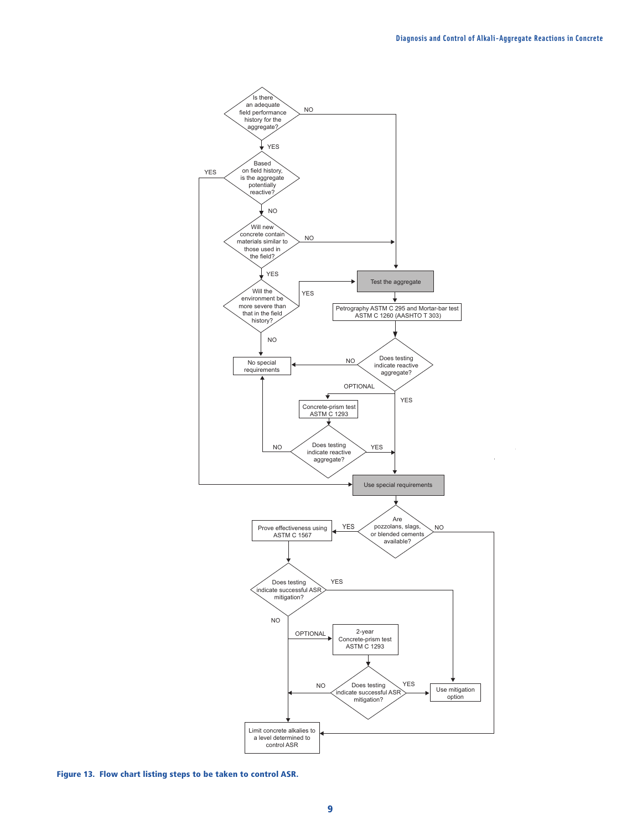J.



**Figure 13. Flow chart listing steps to be taken to control ASR.**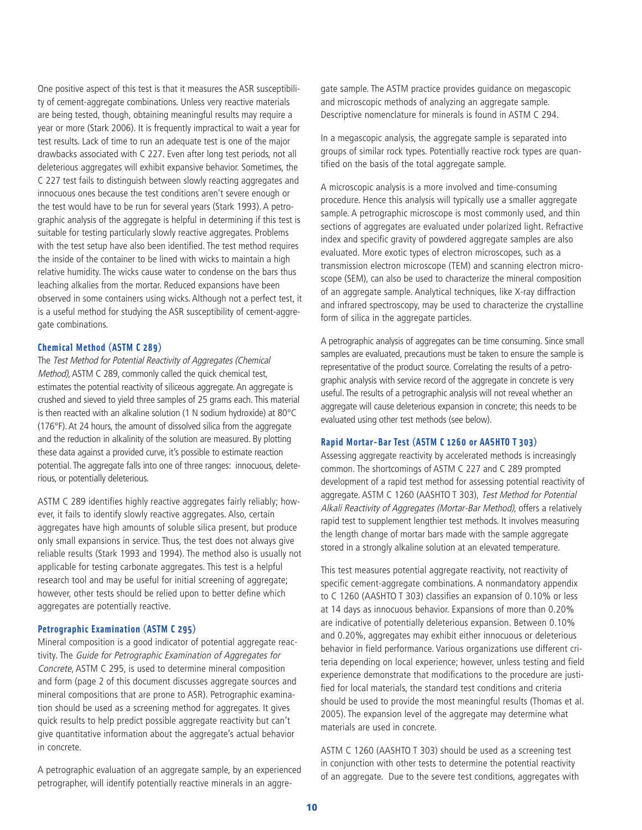One positive aspect of this test is that it measures the ASR susceptibility of cement-aggregate combinations. Unless very reactive materials are being tested, though, obtaining meaningful results may require a year or more (Stark 2006). It is frequently impractical to wait a year for test results. Lack of time to run an adequate test is one of the major drawbacks associated with C 227. Even after long test periods, not all deleterious aggregates will exhibit expansive behavior. Sometimes, the C 227 test fails to distinguish between slowly reacting aggregates and innocuous ones because the test conditions aren't severe enough or the test would have to be run for several years (Stark 1993). A petrographic analysis of the aggregate is helpful in determining if this test is suitable for testing particularly slowly reactive aggregates. Problems with the test setup have also been identified. The test method requires the inside of the container to be lined with wicks to maintain a high relative humidity. The wicks cause water to condense on the bars thus leaching alkalies from the mortar. Reduced expansions have been observed in some containers using wicks. Although not a perfect test, it is a useful method for studying the ASR susceptibility of cement-aggregate combinations.

## **Chemical Method (ASTM C 289)**

The Test Method for Potential Reactivity of Aggregates (Chemical Method), ASTM C 289, commonly called the quick chemical test, estimates the potential reactivity of siliceous aggregate. An aggregate is crushed and sieved to yield three samples of 25 grams each. This material is then reacted with an alkaline solution (1 N sodium hydroxide) at 80°C (176°F). At 24 hours, the amount of dissolved silica from the aggregate and the reduction in alkalinity of the solution are measured. By plotting these data against a provided curve, it's possible to estimate reaction potential. The aggregate falls into one of three ranges: innocuous, deleterious, or potentially deleterious.

ASTM C 289 identifies highly reactive aggregates fairly reliably; however, it fails to identify slowly reactive aggregates. Also, certain aggregates have high amounts of soluble silica present, but produce only small expansions in service. Thus, the test does not always give reliable results (Stark 1993 and 1994). The method also is usually not applicable for testing carbonate aggregates. This test is a helpful research tool and may be useful for initial screening of aggregate; however, other tests should be relied upon to better define which aggregates are potentially reactive.

## **Petrographic Examination (ASTM C 295)**

Mineral composition is a good indicator of potential aggregate reactivity. The Guide for Petrographic Examination of Aggregates for Concrete, ASTM C 295, is used to determine mineral composition and form (page 2 of this document discusses aggregate sources and mineral compositions that are prone to ASR). Petrographic examination should be used as a screening method for aggregates. It gives quick results to help predict possible aggregate reactivity but can't give quantitative information about the aggregate's actual behavior in concrete.

A petrographic evaluation of an aggregate sample, by an experienced petrographer, will identify potentially reactive minerals in an aggregate sample. The ASTM practice provides guidance on megascopic and microscopic methods of analyzing an aggregate sample. Descriptive nomenclature for minerals is found in ASTM C 294.

In a megascopic analysis, the aggregate sample is separated into groups of similar rock types. Potentially reactive rock types are quantified on the basis of the total aggregate sample.

A microscopic analysis is a more involved and time-consuming procedure. Hence this analysis will typically use a smaller aggregate sample. A petrographic microscope is most commonly used, and thin sections of aggregates are evaluated under polarized light. Refractive index and specific gravity of powdered aggregate samples are also evaluated. More exotic types of electron microscopes, such as a transmission electron microscope (TEM) and scanning electron microscope (SEM), can also be used to characterize the mineral composition of an aggregate sample. Analytical techniques, like X-ray diffraction and infrared spectroscopy, may be used to characterize the crystalline form of silica in the aggregate particles.

A petrographic analysis of aggregates can be time consuming. Since small samples are evaluated, precautions must be taken to ensure the sample is representative of the product source. Correlating the results of a petrographic analysis with service record of the aggregate in concrete is very useful. The results of a petrographic analysis will not reveal whether an aggregate will cause deleterious expansion in concrete; this needs to be evaluated using other test methods (see below).

#### **Rapid Mortar-Bar Test (ASTM C 1260 or AASHTO T 303)**

Assessing aggregate reactivity by accelerated methods is increasingly common. The shortcomings of ASTM C 227 and C 289 prompted development of a rapid test method for assessing potential reactivity of aggregate. ASTM C 1260 (AASHTO T 303), Test Method for Potential Alkali Reactivity of Aggregates (Mortar-Bar Method), offers a relatively rapid test to supplement lengthier test methods. It involves measuring the length change of mortar bars made with the sample aggregate stored in a strongly alkaline solution at an elevated temperature.

This test measures potential aggregate reactivity, not reactivity of specific cement-aggregate combinations. A nonmandatory appendix to C 1260 (AASHTO T 303) classifies an expansion of 0.10% or less at 14 days as innocuous behavior. Expansions of more than 0.20% are indicative of potentially deleterious expansion. Between 0.10% and 0.20%, aggregates may exhibit either innocuous or deleterious behavior in field performance. Various organizations use different criteria depending on local experience; however, unless testing and field experience demonstrate that modifications to the procedure are justified for local materials, the standard test conditions and criteria should be used to provide the most meaningful results (Thomas et al. 2005). The expansion level of the aggregate may determine what materials are used in concrete.

ASTM C 1260 (AASHTO T 303) should be used as a screening test in conjunction with other tests to determine the potential reactivity of an aggregate. Due to the severe test conditions, aggregates with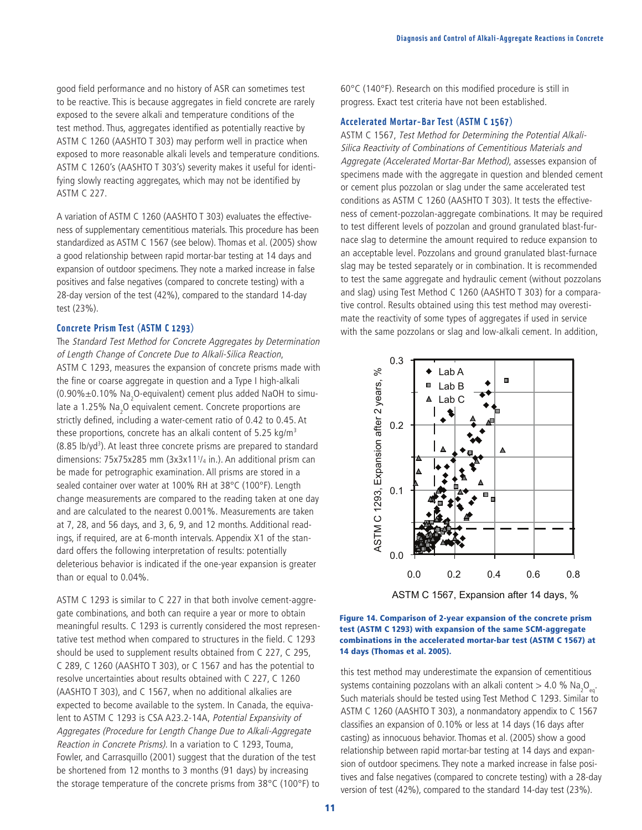good field performance and no history of ASR can sometimes test to be reactive. This is because aggregates in field concrete are rarely exposed to the severe alkali and temperature conditions of the test method. Thus, aggregates identified as potentially reactive by ASTM C 1260 (AASHTO T 303) may perform well in practice when exposed to more reasonable alkali levels and temperature conditions. ASTM C 1260's (AASHTO T 303's) severity makes it useful for identifying slowly reacting aggregates, which may not be identified by ASTM C 227.

A variation of ASTM C 1260 (AASHTO T 303) evaluates the effectiveness of supplementary cementitious materials. This procedure has been standardized as ASTM C 1567 (see below). Thomas et al. (2005) show a good relationship between rapid mortar-bar testing at 14 days and expansion of outdoor specimens. They note a marked increase in false positives and false negatives (compared to concrete testing) with a 28-day version of the test (42%), compared to the standard 14-day test (23%).

## **Concrete Prism Test (ASTM C 1293)**

The Standard Test Method for Concrete Aggregates by Determination of Length Change of Concrete Due to Alkali-Silica Reaction, ASTM C 1293, measures the expansion of concrete prisms made with the fine or coarse aggregate in question and a Type I high-alkali (0.90% $\pm$ 0.10% Na<sub>2</sub>O-equivalent) cement plus added NaOH to simulate a 1.25% Na<sub>2</sub>O equivalent cement. Concrete proportions are strictly defined, including a water-cement ratio of 0.42 to 0.45. At these proportions, concrete has an alkali content of 5.25 kg/ $m<sup>3</sup>$ (8.85 lb/yd<sup>3</sup>). At least three concrete prisms are prepared to standard dimensions: 75x75x285 mm (3x3x111/4 in.). An additional prism can be made for petrographic examination. All prisms are stored in a sealed container over water at 100% RH at 38°C (100°F). Length change measurements are compared to the reading taken at one day and are calculated to the nearest 0.001%. Measurements are taken at 7, 28, and 56 days, and 3, 6, 9, and 12 months. Additional readings, if required, are at 6-month intervals. Appendix X1 of the standard offers the following interpretation of results: potentially deleterious behavior is indicated if the one-year expansion is greater than or equal to 0.04%.

ASTM C 1293 is similar to C 227 in that both involve cement-aggregate combinations, and both can require a year or more to obtain meaningful results. C 1293 is currently considered the most representative test method when compared to structures in the field. C 1293 should be used to supplement results obtained from C 227, C 295, C 289, C 1260 (AASHTO T 303), or C 1567 and has the potential to resolve uncertainties about results obtained with C 227, C 1260 (AASHTO T 303), and C 1567, when no additional alkalies are expected to become available to the system. In Canada, the equivalent to ASTM C 1293 is CSA A23.2-14A, Potential Expansivity of Aggregates (Procedure for Length Change Due to Alkali-Aggregate Reaction in Concrete Prisms). In a variation to C 1293, Touma, Fowler, and Carrasquillo (2001) suggest that the duration of the test be shortened from 12 months to 3 months (91 days) by increasing the storage temperature of the concrete prisms from 38°C (100°F) to 60°C (140°F). Research on this modified procedure is still in progress. Exact test criteria have not been established.

#### **Accelerated Mortar-Bar Test (ASTM C 1567)**

ASTM C 1567, Test Method for Determining the Potential Alkali-Silica Reactivity of Combinations of Cementitious Materials and Aggregate (Accelerated Mortar-Bar Method), assesses expansion of specimens made with the aggregate in question and blended cement or cement plus pozzolan or slag under the same accelerated test conditions as ASTM C 1260 (AASHTO T 303). It tests the effectiveness of cement-pozzolan-aggregate combinations. It may be required to test different levels of pozzolan and ground granulated blast-furnace slag to determine the amount required to reduce expansion to an acceptable level. Pozzolans and ground granulated blast-furnace slag may be tested separately or in combination. It is recommended to test the same aggregate and hydraulic cement (without pozzolans and slag) using Test Method C 1260 (AASHTO T 303) for a comparative control. Results obtained using this test method may overestimate the reactivity of some types of aggregates if used in service with the same pozzolans or slag and low-alkali cement. In addition,



#### **Figure 14. Comparison of 2-year expansion of the concrete prism test (ASTM C 1293) with expansion of the same SCM-aggregate combinations in the accelerated mortar-bar test (ASTM C 1567) at 14 days (Thomas et al. 2005).**

this test method may underestimate the expansion of cementitious systems containing pozzolans with an alkali content  $>$  4.0 % Na<sub>2</sub>O<sub>eq</sub>. Such materials should be tested using Test Method C 1293. Similar to ASTM C 1260 (AASHTO T 303), a nonmandatory appendix to C 1567 classifies an expansion of 0.10% or less at 14 days (16 days after casting) as innocuous behavior. Thomas et al. (2005) show a good relationship between rapid mortar-bar testing at 14 days and expansion of outdoor specimens. They note a marked increase in false positives and false negatives (compared to concrete testing) with a 28-day version of test (42%), compared to the standard 14-day test (23%).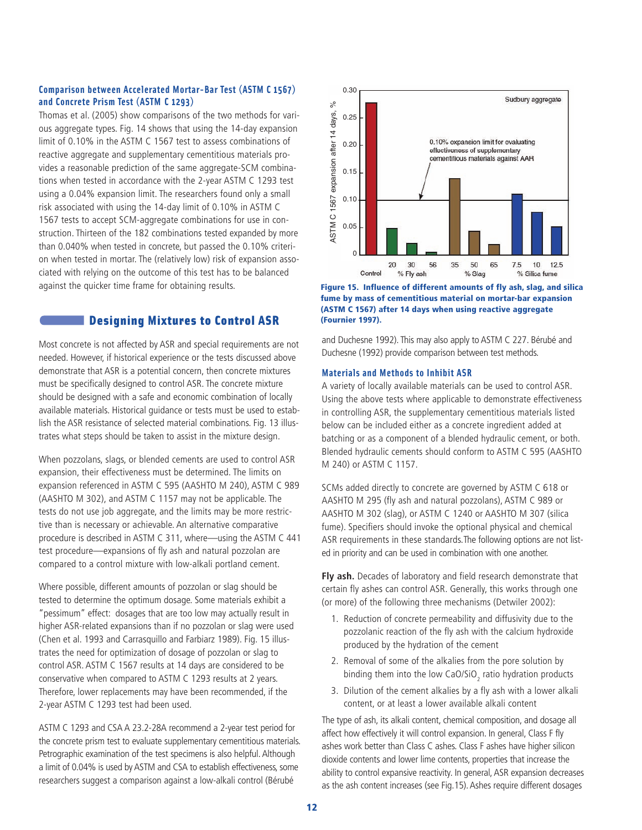## **Comparison between Accelerated Mortar-Bar Test (ASTM C 1567) and Concrete Prism Test (ASTM C 1293)**

Thomas et al. (2005) show comparisons of the two methods for various aggregate types. Fig. 14 shows that using the 14-day expansion limit of 0.10% in the ASTM C 1567 test to assess combinations of reactive aggregate and supplementary cementitious materials provides a reasonable prediction of the same aggregate-SCM combinations when tested in accordance with the 2-year ASTM C 1293 test using a 0.04% expansion limit. The researchers found only a small risk associated with using the 14-day limit of 0.10% in ASTM C 1567 tests to accept SCM-aggregate combinations for use in construction. Thirteen of the 182 combinations tested expanded by more than 0.040% when tested in concrete, but passed the 0.10% criterion when tested in mortar. The (relatively low) risk of expansion associated with relying on the outcome of this test has to be balanced against the quicker time frame for obtaining results.

# **Designing Mixtures to Control ASR**

Most concrete is not affected by ASR and special requirements are not needed. However, if historical experience or the tests discussed above demonstrate that ASR is a potential concern, then concrete mixtures must be specifically designed to control ASR. The concrete mixture should be designed with a safe and economic combination of locally available materials. Historical guidance or tests must be used to establish the ASR resistance of selected material combinations. Fig. 13 illustrates what steps should be taken to assist in the mixture design.

When pozzolans, slags, or blended cements are used to control ASR expansion, their effectiveness must be determined. The limits on expansion referenced in ASTM C 595 (AASHTO M 240), ASTM C 989 (AASHTO M 302), and ASTM C 1157 may not be applicable. The tests do not use job aggregate, and the limits may be more restrictive than is necessary or achievable. An alternative comparative procedure is described in ASTM C 311, where—using the ASTM C 441 test procedure—expansions of fly ash and natural pozzolan are compared to a control mixture with low-alkali portland cement.

Where possible, different amounts of pozzolan or slag should be tested to determine the optimum dosage. Some materials exhibit a "pessimum" effect: dosages that are too low may actually result in higher ASR-related expansions than if no pozzolan or slag were used (Chen et al. 1993 and Carrasquillo and Farbiarz 1989). Fig. 15 illustrates the need for optimization of dosage of pozzolan or slag to control ASR. ASTM C 1567 results at 14 days are considered to be conservative when compared to ASTM C 1293 results at 2 years. Therefore, lower replacements may have been recommended, if the 2-year ASTM C 1293 test had been used.

ASTM C 1293 and CSA A 23.2-28A recommend a 2-year test period for the concrete prism test to evaluate supplementary cementitious materials. Petrographic examination of the test specimens is also helpful. Although a limit of 0.04% is used by ASTM and CSA to establish effectiveness, some researchers suggest a comparison against a low-alkali control (Bérubé



**Figure 15. Influence of different amounts of fly ash, slag, and silica fume by mass of cementitious material on mortar-bar expansion (ASTM C 1567) after 14 days when using reactive aggregate (Fournier 1997).**

and Duchesne 1992). This may also apply to ASTM C 227. Bérubé and Duchesne (1992) provide comparison between test methods.

#### **Materials and Methods to Inhibit ASR**

A variety of locally available materials can be used to control ASR. Using the above tests where applicable to demonstrate effectiveness in controlling ASR, the supplementary cementitious materials listed below can be included either as a concrete ingredient added at batching or as a component of a blended hydraulic cement, or both. Blended hydraulic cements should conform to ASTM C 595 (AASHTO M 240) or ASTM C 1157.

SCMs added directly to concrete are governed by ASTM C 618 or AASHTO M 295 (fly ash and natural pozzolans), ASTM C 989 or AASHTO M 302 (slag), or ASTM C 1240 or AASHTO M 307 (silica fume). Specifiers should invoke the optional physical and chemical ASR requirements in these standards.The following options are not listed in priority and can be used in combination with one another.

**Fly ash.** Decades of laboratory and field research demonstrate that certain fly ashes can control ASR. Generally, this works through one (or more) of the following three mechanisms (Detwiler 2002):

- 1. Reduction of concrete permeability and diffusivity due to the pozzolanic reaction of the fly ash with the calcium hydroxide produced by the hydration of the cement
- 2. Removal of some of the alkalies from the pore solution by binding them into the low CaO/SiO<sub>2</sub> ratio hydration products
- 3. Dilution of the cement alkalies by a fly ash with a lower alkali content, or at least a lower available alkali content

The type of ash, its alkali content, chemical composition, and dosage all affect how effectively it will control expansion. In general, Class F fly ashes work better than Class C ashes. Class F ashes have higher silicon dioxide contents and lower lime contents, properties that increase the ability to control expansive reactivity. In general, ASR expansion decreases as the ash content increases (see Fig.15). Ashes require different dosages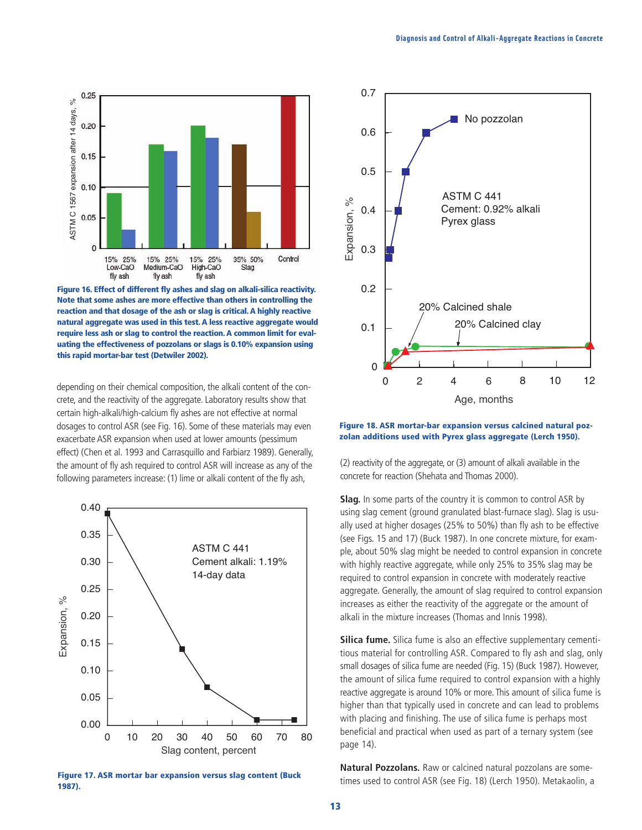

**Figure 16. Effect of different fly ashes and slag on alkali-silica reactivity. Note that some ashes are more effective than others in controlling the reaction and that dosage of the ash or slag is critical. A highly reactive natural aggregate was used in this test. A less reactive aggregate would require less ash or slag to control the reaction. A common limit for evaluating the effectiveness of pozzolans or slags is 0.10% expansion using this rapid mortar-bar test (Detwiler 2002).**

depending on their chemical composition, the alkali content of the concrete, and the reactivity of the aggregate. Laboratory results show that certain high-alkali/high-calcium fly ashes are not effective at normal dosages to control ASR (see Fig. 16). Some of these materials may even exacerbate ASR expansion when used at lower amounts (pessimum effect) (Chen et al. 1993 and Carrasquillo and Farbiarz 1989). Generally, the amount of fly ash required to control ASR will increase as any of the following parameters increase: (1) lime or alkali content of the fly ash,



**Figure 17. ASR mortar bar expansion versus slag content (Buck 1987).**



#### **Figure 18. ASR mortar-bar expansion versus calcined natural pozzolan additions used with Pyrex glass aggregate (Lerch 1950).**

(2) reactivity of the aggregate, or (3) amount of alkali available in the concrete for reaction (Shehata and Thomas 2000).

**Slag.** In some parts of the country it is common to control ASR by using slag cement (ground granulated blast-furnace slag). Slag is usually used at higher dosages (25% to 50%) than fly ash to be effective (see Figs. 15 and 17) (Buck 1987). In one concrete mixture, for example, about 50% slag might be needed to control expansion in concrete with highly reactive aggregate, while only 25% to 35% slag may be required to control expansion in concrete with moderately reactive aggregate. Generally, the amount of slag required to control expansion increases as either the reactivity of the aggregate or the amount of alkali in the mixture increases (Thomas and Innis 1998).

**Silica fume.** Silica fume is also an effective supplementary cementitious material for controlling ASR. Compared to fly ash and slag, only small dosages of silica fume are needed (Fig. 15) (Buck 1987). However, the amount of silica fume required to control expansion with a highly reactive aggregate is around 10% or more. This amount of silica fume is higher than that typically used in concrete and can lead to problems with placing and finishing. The use of silica fume is perhaps most beneficial and practical when used as part of a ternary system (see page 14).

**Natural Pozzolans.** Raw or calcined natural pozzolans are sometimes used to control ASR (see Fig. 18) (Lerch 1950). Metakaolin, a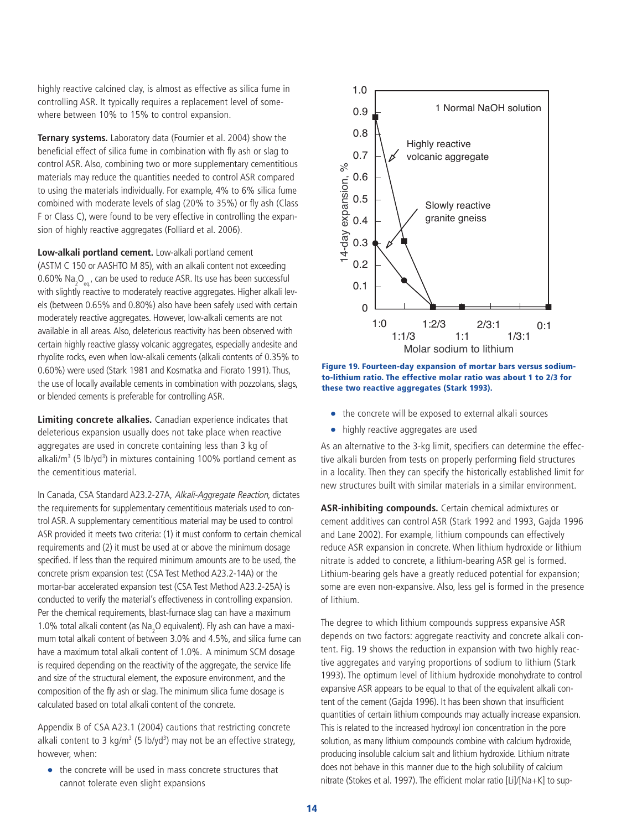highly reactive calcined clay, is almost as effective as silica fume in controlling ASR. It typically requires a replacement level of somewhere between 10% to 15% to control expansion.

**Ternary systems.** Laboratory data (Fournier et al. 2004) show the beneficial effect of silica fume in combination with fly ash or slag to control ASR. Also, combining two or more supplementary cementitious materials may reduce the quantities needed to control ASR compared to using the materials individually. For example, 4% to 6% silica fume combined with moderate levels of slag (20% to 35%) or fly ash (Class F or Class C), were found to be very effective in controlling the expansion of highly reactive aggregates (Folliard et al. 2006).

**Low-alkali portland cement.** Low-alkali portland cement (ASTM C 150 or AASHTO M 85), with an alkali content not exceeding 0.60% Na<sub>2</sub>O<sub>eq.</sub>, can be used to reduce ASR. Its use has been successful with slightly reactive to moderately reactive aggregates. Higher alkali levels (between 0.65% and 0.80%) also have been safely used with certain moderately reactive aggregates. However, low-alkali cements are not available in all areas. Also, deleterious reactivity has been observed with certain highly reactive glassy volcanic aggregates, especially andesite and rhyolite rocks, even when low-alkali cements (alkali contents of 0.35% to 0.60%) were used (Stark 1981 and Kosmatka and Fiorato 1991). Thus, the use of locally available cements in combination with pozzolans, slags, or blended cements is preferable for controlling ASR.

**Limiting concrete alkalies.** Canadian experience indicates that deleterious expansion usually does not take place when reactive aggregates are used in concrete containing less than 3 kg of alkali/m<sup>3</sup> (5 lb/yd<sup>3</sup>) in mixtures containing 100% portland cement as the cementitious material.

In Canada, CSA Standard A23.2-27A, Alkali-Aggregate Reaction, dictates the requirements for supplementary cementitious materials used to control ASR. A supplementary cementitious material may be used to control ASR provided it meets two criteria: (1) it must conform to certain chemical requirements and (2) it must be used at or above the minimum dosage specified. If less than the required minimum amounts are to be used, the concrete prism expansion test (CSA Test Method A23.2-14A) or the mortar-bar accelerated expansion test (CSA Test Method A23.2-25A) is conducted to verify the material's effectiveness in controlling expansion. Per the chemical requirements, blast-furnace slag can have a maximum 1.0% total alkali content (as  $\text{Na}_2\text{O}$  equivalent). Fly ash can have a maximum total alkali content of between 3.0% and 4.5%, and silica fume can have a maximum total alkali content of 1.0%. A minimum SCM dosage is required depending on the reactivity of the aggregate, the service life and size of the structural element, the exposure environment, and the composition of the fly ash or slag. The minimum silica fume dosage is calculated based on total alkali content of the concrete.

Appendix B of CSA A23.1 (2004) cautions that restricting concrete alkali content to 3  $kg/m^3$  (5 lb/yd<sup>3</sup>) may not be an effective strategy, however, when:

• the concrete will be used in mass concrete structures that cannot tolerate even slight expansions



**Figure 19. Fourteen-day expansion of mortar bars versus sodiumto-lithium ratio. The effective molar ratio was about 1 to 2/3 for these two reactive aggregates (Stark 1993).**

- the concrete will be exposed to external alkali sources
- highly reactive aggregates are used

As an alternative to the 3-kg limit, specifiers can determine the effective alkali burden from tests on properly performing field structures in a locality. Then they can specify the historically established limit for new structures built with similar materials in a similar environment.

**ASR-inhibiting compounds.** Certain chemical admixtures or cement additives can control ASR (Stark 1992 and 1993, Gajda 1996 and Lane 2002). For example, lithium compounds can effectively reduce ASR expansion in concrete. When lithium hydroxide or lithium nitrate is added to concrete, a lithium-bearing ASR gel is formed. Lithium-bearing gels have a greatly reduced potential for expansion; some are even non-expansive. Also, less gel is formed in the presence of lithium.

The degree to which lithium compounds suppress expansive ASR depends on two factors: aggregate reactivity and concrete alkali content. Fig. 19 shows the reduction in expansion with two highly reactive aggregates and varying proportions of sodium to lithium (Stark 1993). The optimum level of lithium hydroxide monohydrate to control expansive ASR appears to be equal to that of the equivalent alkali content of the cement (Gajda 1996). It has been shown that insufficient quantities of certain lithium compounds may actually increase expansion. This is related to the increased hydroxyl ion concentration in the pore solution, as many lithium compounds combine with calcium hydroxide, producing insoluble calcium salt and lithium hydroxide. Lithium nitrate does not behave in this manner due to the high solubility of calcium nitrate (Stokes et al. 1997). The efficient molar ratio [Li]/[Na+K] to sup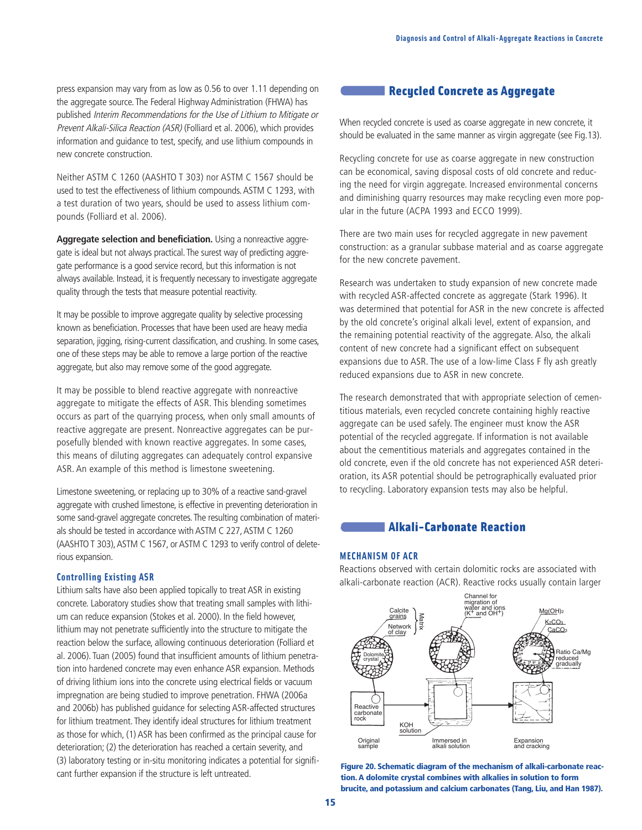press expansion may vary from as low as 0.56 to over 1.11 depending on the aggregate source. The Federal Highway Administration (FHWA) has published Interim Recommendations for the Use of Lithium to Mitigate or Prevent Alkali-Silica Reaction (ASR) (Folliard et al. 2006), which provides information and guidance to test, specify, and use lithium compounds in new concrete construction.

Neither ASTM C 1260 (AASHTO T 303) nor ASTM C 1567 should be used to test the effectiveness of lithium compounds. ASTM C 1293, with a test duration of two years, should be used to assess lithium compounds (Folliard et al. 2006).

**Aggregate selection and beneficiation.** Using a nonreactive aggregate is ideal but not always practical.The surest way of predicting aggregate performance is a good service record, but this information is not always available. Instead, it is frequently necessary to investigate aggregate quality through the tests that measure potential reactivity.

It may be possible to improve aggregate quality by selective processing known as beneficiation. Processes that have been used are heavy media separation, jigging, rising-current classification, and crushing. In some cases, one of these steps may be able to remove a large portion of the reactive aggregate, but also may remove some of the good aggregate.

It may be possible to blend reactive aggregate with nonreactive aggregate to mitigate the effects of ASR. This blending sometimes occurs as part of the quarrying process, when only small amounts of reactive aggregate are present. Nonreactive aggregates can be purposefully blended with known reactive aggregates. In some cases, this means of diluting aggregates can adequately control expansive ASR. An example of this method is limestone sweetening.

Limestone sweetening, or replacing up to 30% of a reactive sand-gravel aggregate with crushed limestone, is effective in preventing deterioration in some sand-gravel aggregate concretes.The resulting combination of materials should be tested in accordance with ASTM C 227, ASTM C 1260 (AASHTO T 303), ASTM C 1567, or ASTM C 1293 to verify control of deleterious expansion.

#### **Controlling Existing ASR**

Lithium salts have also been applied topically to treat ASR in existing concrete. Laboratory studies show that treating small samples with lithium can reduce expansion (Stokes et al. 2000). In the field however, lithium may not penetrate sufficiently into the structure to mitigate the reaction below the surface, allowing continuous deterioration (Folliard et al. 2006). Tuan (2005) found that insufficient amounts of lithium penetration into hardened concrete may even enhance ASR expansion. Methods of driving lithium ions into the concrete using electrical fields or vacuum impregnation are being studied to improve penetration. FHWA (2006a and 2006b) has published guidance for selecting ASR-affected structures for lithium treatment. They identify ideal structures for lithium treatment as those for which, (1) ASR has been confirmed as the principal cause for deterioration; (2) the deterioration has reached a certain severity, and (3) laboratory testing or in-situ monitoring indicates a potential for significant further expansion if the structure is left untreated.

# **Recycled Concrete as Aggregate**

When recycled concrete is used as coarse aggregate in new concrete, it should be evaluated in the same manner as virgin aggregate (see Fig.13).

Recycling concrete for use as coarse aggregate in new construction can be economical, saving disposal costs of old concrete and reducing the need for virgin aggregate. Increased environmental concerns and diminishing quarry resources may make recycling even more popular in the future (ACPA 1993 and ECCO 1999).

There are two main uses for recycled aggregate in new pavement construction: as a granular subbase material and as coarse aggregate for the new concrete pavement.

Research was undertaken to study expansion of new concrete made with recycled ASR-affected concrete as aggregate (Stark 1996). It was determined that potential for ASR in the new concrete is affected by the old concrete's original alkali level, extent of expansion, and the remaining potential reactivity of the aggregate. Also, the alkali content of new concrete had a significant effect on subsequent expansions due to ASR. The use of a low-lime Class F fly ash greatly reduced expansions due to ASR in new concrete.

The research demonstrated that with appropriate selection of cementitious materials, even recycled concrete containing highly reactive aggregate can be used safely. The engineer must know the ASR potential of the recycled aggregate. If information is not available about the cementitious materials and aggregates contained in the old concrete, even if the old concrete has not experienced ASR deterioration, its ASR potential should be petrographically evaluated prior to recycling. Laboratory expansion tests may also be helpful.

# **Alkali-Carbonate Reaction**

#### **MECHANISM OF ACR**

Reactions observed with certain dolomitic rocks are associated with alkali-carbonate reaction (ACR). Reactive rocks usually contain larger



**Figure 20. Schematic diagram of the mechanism of alkali-carbonate reaction. A dolomite crystal combines with alkalies in solution to form brucite, and potassium and calcium carbonates (Tang, Liu, and Han 1987).**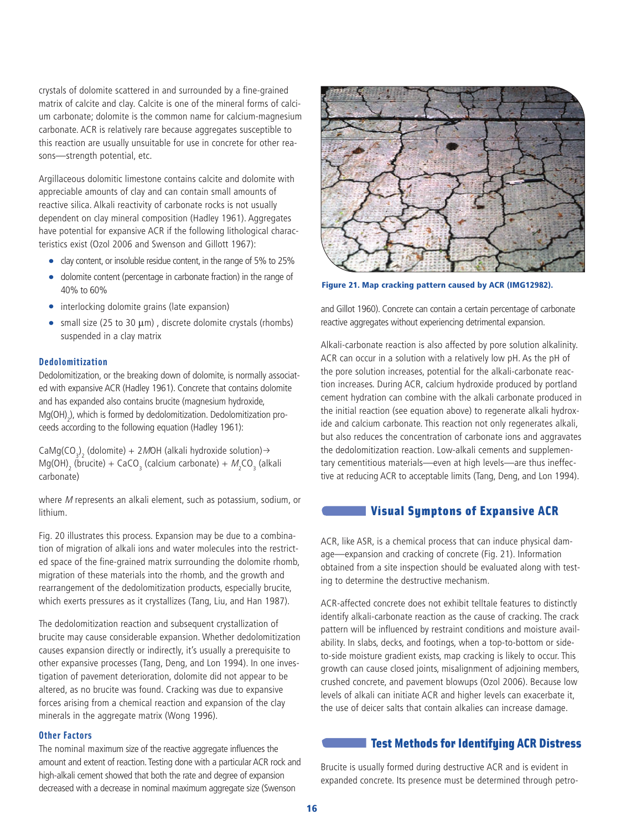crystals of dolomite scattered in and surrounded by a fine-grained matrix of calcite and clay. Calcite is one of the mineral forms of calcium carbonate; dolomite is the common name for calcium-magnesium carbonate. ACR is relatively rare because aggregates susceptible to this reaction are usually unsuitable for use in concrete for other reasons—strength potential, etc.

Argillaceous dolomitic limestone contains calcite and dolomite with appreciable amounts of clay and can contain small amounts of reactive silica. Alkali reactivity of carbonate rocks is not usually dependent on clay mineral composition (Hadley 1961). Aggregates have potential for expansive ACR if the following lithological characteristics exist (Ozol 2006 and Swenson and Gillott 1967):

- clay content, or insoluble residue content, in the range of 5% to 25%
- dolomite content (percentage in carbonate fraction) in the range of 40% to 60%
- interlocking dolomite grains (late expansion)
- small size (25 to 30  $\mu$ m), discrete dolomite crystals (rhombs) suspended in a clay matrix

#### **Dedolomitization**

Dedolomitization, or the breaking down of dolomite, is normally associated with expansive ACR (Hadley 1961). Concrete that contains dolomite and has expanded also contains brucite (magnesium hydroxide,  $\text{Mg(OH)}_{2}$ ), which is formed by dedolomitization. Dedolomitization proceeds according to the following equation (Hadley 1961):

CaMg(CO<sub>3</sub>)<sub>2</sub> (dolomite) + 2MOH (alkali hydroxide solution) >  $Mg(OH)$ <sub>2</sub> (brucite) + CaCO<sub>3</sub> (calcium carbonate) +  $M_2CO_3$  (alkali carbonate)

where M represents an alkali element, such as potassium, sodium, or lithium.

Fig. 20 illustrates this process. Expansion may be due to a combination of migration of alkali ions and water molecules into the restricted space of the fine-grained matrix surrounding the dolomite rhomb, migration of these materials into the rhomb, and the growth and rearrangement of the dedolomitization products, especially brucite, which exerts pressures as it crystallizes (Tang, Liu, and Han 1987).

The dedolomitization reaction and subsequent crystallization of brucite may cause considerable expansion. Whether dedolomitization causes expansion directly or indirectly, it's usually a prerequisite to other expansive processes (Tang, Deng, and Lon 1994). In one investigation of pavement deterioration, dolomite did not appear to be altered, as no brucite was found. Cracking was due to expansive forces arising from a chemical reaction and expansion of the clay minerals in the aggregate matrix (Wong 1996).

#### **Other Factors**

The nominal maximum size of the reactive aggregate influences the amount and extent of reaction. Testing done with a particular ACR rock and high-alkali cement showed that both the rate and degree of expansion decreased with a decrease in nominal maximum aggregate size (Swenson



**Figure 21. Map cracking pattern caused by ACR (IMG12982).**

and Gillot 1960). Concrete can contain a certain percentage of carbonate reactive aggregates without experiencing detrimental expansion.

Alkali-carbonate reaction is also affected by pore solution alkalinity. ACR can occur in a solution with a relatively low pH. As the pH of the pore solution increases, potential for the alkali-carbonate reaction increases. During ACR, calcium hydroxide produced by portland cement hydration can combine with the alkali carbonate produced in the initial reaction (see equation above) to regenerate alkali hydroxide and calcium carbonate. This reaction not only regenerates alkali, but also reduces the concentration of carbonate ions and aggravates the dedolomitization reaction. Low-alkali cements and supplementary cementitious materials—even at high levels—are thus ineffective at reducing ACR to acceptable limits (Tang, Deng, and Lon 1994).

## **Visual Symptons of Expansive ACR**

ACR, like ASR, is a chemical process that can induce physical damage—expansion and cracking of concrete (Fig. 21). Information obtained from a site inspection should be evaluated along with testing to determine the destructive mechanism.

ACR-affected concrete does not exhibit telltale features to distinctly identify alkali-carbonate reaction as the cause of cracking. The crack pattern will be influenced by restraint conditions and moisture availability. In slabs, decks, and footings, when a top-to-bottom or sideto-side moisture gradient exists, map cracking is likely to occur. This growth can cause closed joints, misalignment of adjoining members, crushed concrete, and pavement blowups (Ozol 2006). Because low levels of alkali can initiate ACR and higher levels can exacerbate it, the use of deicer salts that contain alkalies can increase damage.

# **Test Methods for Identifying ACR Distress**

Brucite is usually formed during destructive ACR and is evident in expanded concrete. Its presence must be determined through petro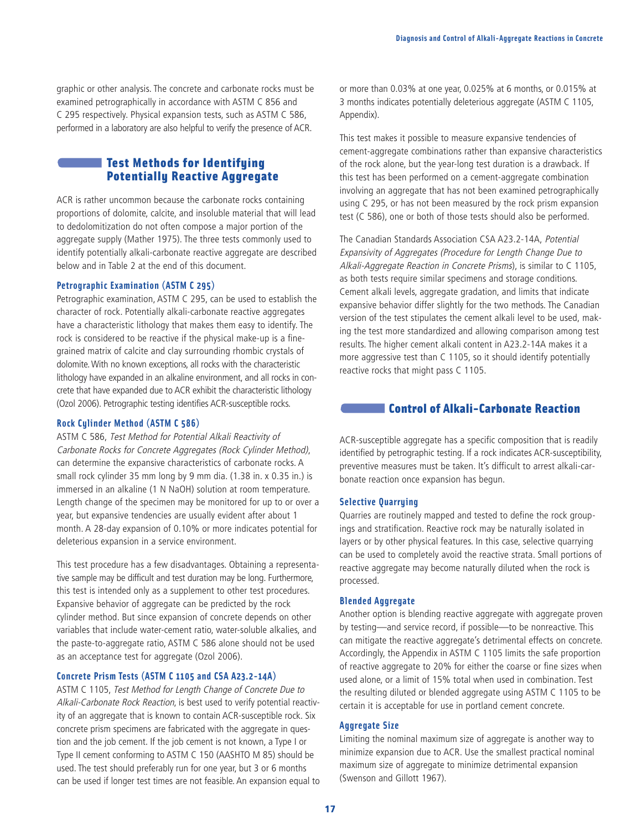graphic or other analysis. The concrete and carbonate rocks must be examined petrographically in accordance with ASTM C 856 and C 295 respectively. Physical expansion tests, such as ASTM C 586, performed in a laboratory are also helpful to verify the presence of ACR.

# **Test Methods for Identifying Potentially Reactive Aggregate**

ACR is rather uncommon because the carbonate rocks containing proportions of dolomite, calcite, and insoluble material that will lead to dedolomitization do not often compose a major portion of the aggregate supply (Mather 1975). The three tests commonly used to identify potentially alkali-carbonate reactive aggregate are described below and in Table 2 at the end of this document.

#### **Petrographic Examination (ASTM C 295)**

Petrographic examination, ASTM C 295, can be used to establish the character of rock. Potentially alkali-carbonate reactive aggregates have a characteristic lithology that makes them easy to identify. The rock is considered to be reactive if the physical make-up is a finegrained matrix of calcite and clay surrounding rhombic crystals of dolomite. With no known exceptions, all rocks with the characteristic lithology have expanded in an alkaline environment, and all rocks in concrete that have expanded due to ACR exhibit the characteristic lithology (Ozol 2006). Petrographic testing identifies ACR-susceptible rocks.

#### **Rock Cylinder Method (ASTM C 586)**

ASTM C 586, Test Method for Potential Alkali Reactivity of Carbonate Rocks for Concrete Aggregates (Rock Cylinder Method), can determine the expansive characteristics of carbonate rocks. A small rock cylinder 35 mm long by 9 mm dia. (1.38 in. x 0.35 in.) is immersed in an alkaline (1 N NaOH) solution at room temperature. Length change of the specimen may be monitored for up to or over a year, but expansive tendencies are usually evident after about 1 month. A 28-day expansion of 0.10% or more indicates potential for deleterious expansion in a service environment.

This test procedure has a few disadvantages. Obtaining a representative sample may be difficult and test duration may be long. Furthermore, this test is intended only as a supplement to other test procedures. Expansive behavior of aggregate can be predicted by the rock cylinder method. But since expansion of concrete depends on other variables that include water-cement ratio, water-soluble alkalies, and the paste-to-aggregate ratio, ASTM C 586 alone should not be used as an acceptance test for aggregate (Ozol 2006).

## **Concrete Prism Tests (ASTM C 1105 and CSA A23.2-14A)**

ASTM C 1105, Test Method for Length Change of Concrete Due to Alkali-Carbonate Rock Reaction, is best used to verify potential reactivity of an aggregate that is known to contain ACR-susceptible rock. Six concrete prism specimens are fabricated with the aggregate in question and the job cement. If the job cement is not known, a Type I or Type II cement conforming to ASTM C 150 (AASHTO M 85) should be used. The test should preferably run for one year, but 3 or 6 months can be used if longer test times are not feasible. An expansion equal to or more than 0.03% at one year, 0.025% at 6 months, or 0.015% at 3 months indicates potentially deleterious aggregate (ASTM C 1105, Appendix).

This test makes it possible to measure expansive tendencies of cement-aggregate combinations rather than expansive characteristics of the rock alone, but the year-long test duration is a drawback. If this test has been performed on a cement-aggregate combination involving an aggregate that has not been examined petrographically using C 295, or has not been measured by the rock prism expansion test (C 586), one or both of those tests should also be performed.

The Canadian Standards Association CSA A23.2-14A, Potential Expansivity of Aggregates (Procedure for Length Change Due to Alkali-Aggregate Reaction in Concrete Prisms), is similar to C 1105, as both tests require similar specimens and storage conditions. Cement alkali levels, aggregate gradation, and limits that indicate expansive behavior differ slightly for the two methods. The Canadian version of the test stipulates the cement alkali level to be used, making the test more standardized and allowing comparison among test results. The higher cement alkali content in A23.2-14A makes it a more aggressive test than C 1105, so it should identify potentially reactive rocks that might pass C 1105.

# **Control of Alkali-Carbonate Reaction**

ACR-susceptible aggregate has a specific composition that is readily identified by petrographic testing. If a rock indicates ACR-susceptibility, preventive measures must be taken. It's difficult to arrest alkali-carbonate reaction once expansion has begun.

#### **Selective Quarrying**

Quarries are routinely mapped and tested to define the rock groupings and stratification. Reactive rock may be naturally isolated in layers or by other physical features. In this case, selective quarrying can be used to completely avoid the reactive strata. Small portions of reactive aggregate may become naturally diluted when the rock is processed.

## **Blended Aggregate**

Another option is blending reactive aggregate with aggregate proven by testing—and service record, if possible—to be nonreactive. This can mitigate the reactive aggregate's detrimental effects on concrete. Accordingly, the Appendix in ASTM C 1105 limits the safe proportion of reactive aggregate to 20% for either the coarse or fine sizes when used alone, or a limit of 15% total when used in combination. Test the resulting diluted or blended aggregate using ASTM C 1105 to be certain it is acceptable for use in portland cement concrete.

#### **Aggregate Size**

Limiting the nominal maximum size of aggregate is another way to minimize expansion due to ACR. Use the smallest practical nominal maximum size of aggregate to minimize detrimental expansion (Swenson and Gillott 1967).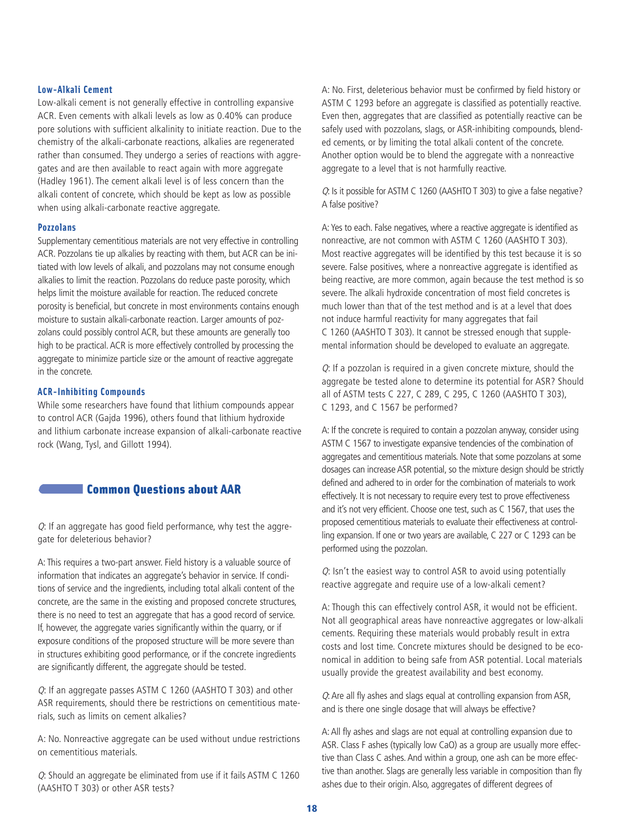## **Low-Alkali Cement**

Low-alkali cement is not generally effective in controlling expansive ACR. Even cements with alkali levels as low as 0.40% can produce pore solutions with sufficient alkalinity to initiate reaction. Due to the chemistry of the alkali-carbonate reactions, alkalies are regenerated rather than consumed. They undergo a series of reactions with aggregates and are then available to react again with more aggregate (Hadley 1961). The cement alkali level is of less concern than the alkali content of concrete, which should be kept as low as possible when using alkali-carbonate reactive aggregate.

#### **Pozzolans**

Supplementary cementitious materials are not very effective in controlling ACR. Pozzolans tie up alkalies by reacting with them, but ACR can be initiated with low levels of alkali, and pozzolans may not consume enough alkalies to limit the reaction. Pozzolans do reduce paste porosity, which helps limit the moisture available for reaction. The reduced concrete porosity is beneficial, but concrete in most environments contains enough moisture to sustain alkali-carbonate reaction. Larger amounts of pozzolans could possibly control ACR, but these amounts are generally too high to be practical. ACR is more effectively controlled by processing the aggregate to minimize particle size or the amount of reactive aggregate in the concrete.

## **ACR-Inhibiting Compounds**

While some researchers have found that lithium compounds appear to control ACR (Gajda 1996), others found that lithium hydroxide and lithium carbonate increase expansion of alkali-carbonate reactive rock (Wang, Tysl, and Gillott 1994).

# **Common Questions about AAR**

 $Q$ : If an aggregate has good field performance, why test the aggregate for deleterious behavior?

A: This requires a two-part answer. Field history is a valuable source of information that indicates an aggregate's behavior in service. If conditions of service and the ingredients, including total alkali content of the concrete, are the same in the existing and proposed concrete structures, there is no need to test an aggregate that has a good record of service. If, however, the aggregate varies significantly within the quarry, or if exposure conditions of the proposed structure will be more severe than in structures exhibiting good performance, or if the concrete ingredients are significantly different, the aggregate should be tested.

Q: If an aggregate passes ASTM C 1260 (AASHTO T 303) and other ASR requirements, should there be restrictions on cementitious materials, such as limits on cement alkalies?

A: No. Nonreactive aggregate can be used without undue restrictions on cementitious materials.

Q: Should an aggregate be eliminated from use if it fails ASTM C 1260 (AASHTO T 303) or other ASR tests?

A: No. First, deleterious behavior must be confirmed by field history or ASTM C 1293 before an aggregate is classified as potentially reactive. Even then, aggregates that are classified as potentially reactive can be safely used with pozzolans, slags, or ASR-inhibiting compounds, blended cements, or by limiting the total alkali content of the concrete. Another option would be to blend the aggregate with a nonreactive aggregate to a level that is not harmfully reactive.

Q: Is it possible for ASTM C 1260 (AASHTO T 303) to give a false negative? A false positive?

A:Yes to each. False negatives, where a reactive aggregate is identified as nonreactive, are not common with ASTM C 1260 (AASHTO T 303). Most reactive aggregates will be identified by this test because it is so severe. False positives, where a nonreactive aggregate is identified as being reactive, are more common, again because the test method is so severe. The alkali hydroxide concentration of most field concretes is much lower than that of the test method and is at a level that does not induce harmful reactivity for many aggregates that fail C 1260 (AASHTO T 303). It cannot be stressed enough that supplemental information should be developed to evaluate an aggregate.

Q: If a pozzolan is required in a given concrete mixture, should the aggregate be tested alone to determine its potential for ASR? Should all of ASTM tests C 227, C 289, C 295, C 1260 (AASHTO T 303), C 1293, and C 1567 be performed?

A: If the concrete is required to contain a pozzolan anyway, consider using ASTM C 1567 to investigate expansive tendencies of the combination of aggregates and cementitious materials. Note that some pozzolans at some dosages can increase ASR potential, so the mixture design should be strictly defined and adhered to in order for the combination of materials to work effectively. It is not necessary to require every test to prove effectiveness and it's not very efficient. Choose one test, such as C 1567, that uses the proposed cementitious materials to evaluate their effectiveness at controlling expansion. If one or two years are available, C 227 or C 1293 can be performed using the pozzolan.

Q: Isn't the easiest way to control ASR to avoid using potentially reactive aggregate and require use of a low-alkali cement?

A: Though this can effectively control ASR, it would not be efficient. Not all geographical areas have nonreactive aggregates or low-alkali cements. Requiring these materials would probably result in extra costs and lost time. Concrete mixtures should be designed to be economical in addition to being safe from ASR potential. Local materials usually provide the greatest availability and best economy.

Q: Are all fly ashes and slags equal at controlling expansion from ASR, and is there one single dosage that will always be effective?

A:All fly ashes and slags are not equal at controlling expansion due to ASR. Class F ashes (typically low CaO) as a group are usually more effective than Class C ashes. And within a group, one ash can be more effective than another. Slags are generally less variable in composition than fly ashes due to their origin. Also, aggregates of different degrees of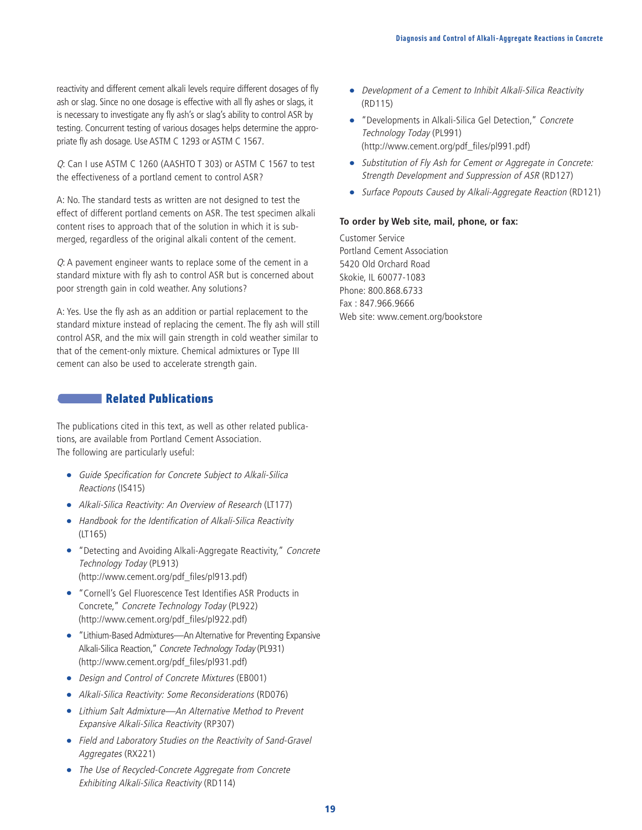reactivity and different cement alkali levels require different dosages of fly ash or slag. Since no one dosage is effective with all fly ashes or slags, it is necessary to investigate any fly ash's or slag's ability to control ASR by testing. Concurrent testing of various dosages helps determine the appropriate fly ash dosage. Use ASTM C 1293 or ASTM C 1567.

Q: Can I use ASTM C 1260 (AASHTO T 303) or ASTM C 1567 to test the effectiveness of a portland cement to control ASR?

A: No. The standard tests as written are not designed to test the effect of different portland cements on ASR. The test specimen alkali content rises to approach that of the solution in which it is submerged, regardless of the original alkali content of the cement.

Q: A pavement engineer wants to replace some of the cement in a standard mixture with fly ash to control ASR but is concerned about poor strength gain in cold weather. Any solutions?

A: Yes. Use the fly ash as an addition or partial replacement to the standard mixture instead of replacing the cement. The fly ash will still control ASR, and the mix will gain strength in cold weather similar to that of the cement-only mixture. Chemical admixtures or Type III cement can also be used to accelerate strength gain.

# **Related Publications**

The publications cited in this text, as well as other related publications, are available from Portland Cement Association. The following are particularly useful:

- Guide Specification for Concrete Subject to Alkali-Silica Reactions (IS415)
- Alkali-Silica Reactivity: An Overview of Research (LT177)
- Handbook for the Identification of Alkali-Silica Reactivity (LT165)
- "Detecting and Avoiding Alkali-Aggregate Reactivity," Concrete Technology Today (PL913) (http://www.cement.org/pdf\_files/pl913.pdf)
- "Cornell's Gel Fluorescence Test Identifies ASR Products in Concrete," Concrete Technology Today (PL922) (http://www.cement.org/pdf\_files/pl922.pdf)
- "Lithium-Based Admixtures—An Alternative for Preventing Expansive Alkali-Silica Reaction," Concrete Technology Today (PL931) (http://www.cement.org/pdf\_files/pl931.pdf)
- Design and Control of Concrete Mixtures (EB001)
- Alkali-Silica Reactivity: Some Reconsiderations (RD076)
- Lithium Salt Admixture—An Alternative Method to Prevent Expansive Alkali-Silica Reactivity (RP307)
- Field and Laboratory Studies on the Reactivity of Sand-Gravel Aggregates (RX221)
- The Use of Recycled-Concrete Aggregate from Concrete Exhibiting Alkali-Silica Reactivity (RD114)
- Development of a Cement to Inhibit Alkali-Silica Reactivity (RD115)
- "Developments in Alkali-Silica Gel Detection," Concrete Technology Today (PL991) (http://www.cement.org/pdf\_files/pl991.pdf)
- Substitution of Fly Ash for Cement or Aggregate in Concrete: Strength Development and Suppression of ASR (RD127)
- Surface Popouts Caused by Alkali-Aggregate Reaction (RD121)

## **To order by Web site, mail, phone, or fax:**

Customer Service Portland Cement Association 5420 Old Orchard Road Skokie, IL 60077-1083 Phone: 800.868.6733 Fax : 847.966.9666 Web site: www.cement.org/bookstore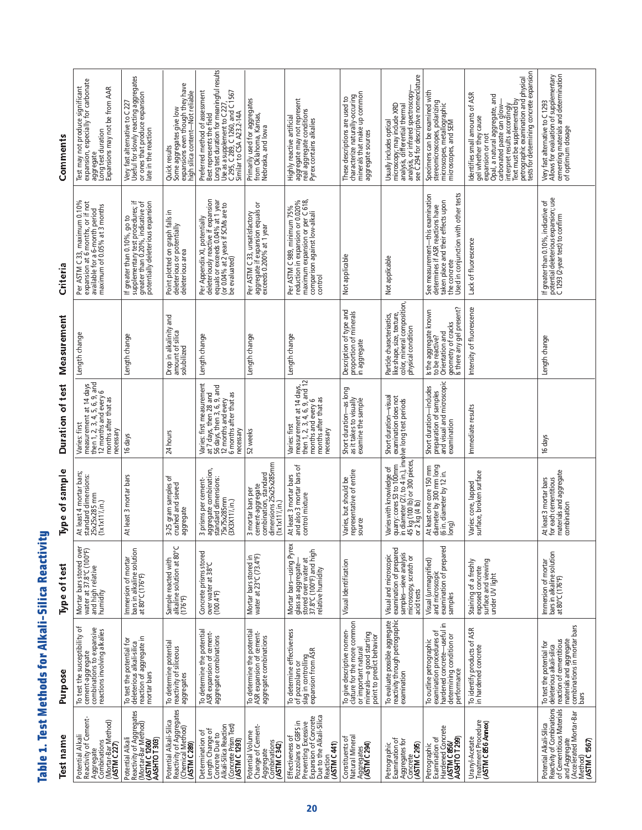**Ta ble 1. Te st M eth o d s for Alk ali-Silica R e activity**

| Reactivity of Cement-<br>Test name<br>Potential Alkali | ৳<br>To test the susceptibility<br>Purpose                                                                                                           | Type of test                                                                                                                 | Type of sample<br>At least 4 mortar bars;                                                                                                                                                                       | Duration of test<br>Varies: first                                                                                                               | Measurement<br>Length change                                                                                    | Per ASTM C 33, maximum 0.10%<br>Criteria                                                                                                                           | Test may not produce significant<br>Comments                                                                                                                                                                                                                                                       |
|--------------------------------------------------------|------------------------------------------------------------------------------------------------------------------------------------------------------|------------------------------------------------------------------------------------------------------------------------------|-----------------------------------------------------------------------------------------------------------------------------------------------------------------------------------------------------------------|-------------------------------------------------------------------------------------------------------------------------------------------------|-----------------------------------------------------------------------------------------------------------------|--------------------------------------------------------------------------------------------------------------------------------------------------------------------|----------------------------------------------------------------------------------------------------------------------------------------------------------------------------------------------------------------------------------------------------------------------------------------------------|
|                                                        | cement-aggregate<br>combinations to expansive<br>reactions involving alkalies                                                                        | Mortar bars stored over<br>water at 37.8°C (100°F)<br>and high relative<br>humidity                                          | standard dimensions:<br>25x25x285 mm<br>(1x1x11½in.)                                                                                                                                                            | measurement at 14 days<br>then 1, 2, 3, 4, 5, 6, 9, and<br>12 months and every 6<br>months after that as<br>necessary                           |                                                                                                                 | expansion at 6 months, or if not<br>available for a 6-month period<br>maximum of 0.05% at 3 months                                                                 | expansion, especially for carbonate<br>Expansions may not be from AAR<br>aggregate<br>Long test duration                                                                                                                                                                                           |
|                                                        | reaction of aggregate in<br>To test the potential for<br>deleterious alkali-silica<br>mortar bars                                                    | bars in alkaline solution<br>at 80°C (176°F)<br>Immersion of mortar                                                          | At least 3 mortar bars                                                                                                                                                                                          | 16 days                                                                                                                                         | Length change                                                                                                   | If greater than 0.10%, go to<br>supplementary test procedures; if<br>greater than 0.20%, indicative of<br>potentially deleterious expansion                        | Very fast alternative to C 227<br>Useful for slowly reacting aggregates<br>or ones that produce expansion<br>late in the reaction                                                                                                                                                                  |
|                                                        | To determine potential<br>reactivity of siliceous<br>aggregates                                                                                      | Sample reacted with<br>alkaline solution at 80°C<br>(176°F)                                                                  | 3-25 gram samples of<br>crushed and sieved<br>aggregate                                                                                                                                                         | 24 hours                                                                                                                                        | Drop in alkalinity and<br>amount of silica<br>solubilized                                                       | Point plotted on graph falls in<br>deleterious or potentially<br>deleterious area                                                                                  | Quick results<br>Some aggregates give low<br>expansions even though they have<br>high silica content—Not reliable                                                                                                                                                                                  |
|                                                        | To determine the potential<br>ASR expansion of cement-<br>aggregate combinations                                                                     | Concrete prisms stored<br>  over water at 38°C<br>  (100.4°F)                                                                | aggregate combination,<br>standard dimensions:<br>75x75x285mm<br>3 prisms per cement-<br>(3X3X11'l,in.)                                                                                                         | Varies: first measurement<br>at 7 days, then 28 and<br>56 days, then 3, 6, 9, and<br>6 months after that as<br>12 months and every<br>necessary | Length change                                                                                                   | Per Appendix XI, potentially<br>deleteriously reactive if expansion<br>equals or exceeds 0.04% at 1 year<br>be evaluated)<br>be evaluated)                         | Long test duration for meaningful results<br>Preferred method of assessment<br>Use as a supplement to C 227,<br>C 295, C 289, C 1260, and C 1567<br>Similar to CSA A23.2-14A<br>Best represents the field                                                                                          |
|                                                        | To determine the potential<br>ASR expansion of cement-<br>aggregate combinations                                                                     | Mortar bars stored in<br>water at 23°C (73.4°F)                                                                              | combination, standard<br>dimensions 25x25x285mm<br>cement-aggregate<br>mortar bars per<br>$(1x1x11\frac{y}{1}in.)$<br>$\mathsf{m}$                                                                              | 52 weeks                                                                                                                                        | Length change                                                                                                   | Per ASTM C 33, unsatisfactory<br>aggregate if expansion equals or<br>exceeds 0.200% at 1 year                                                                      | Primarily used for aggregates<br>from Oklahoma, Kansas,<br>Nebraska, and lowa                                                                                                                                                                                                                      |
|                                                        | To determine effectiveness<br>of pozzolans or<br>slag in controlling<br>expansion from ASR                                                           | Mortar bars-using Pyrex<br>  glass as aggregate—<br>  stored over water at<br>  37.8°C (100°F) and high<br>relative humidity | and also 3 mortar bars of<br>At least 3 mortar bars<br>control mixture                                                                                                                                          | measurement at 14 days,<br>then 1, 2, 3, 4, 6, 9, and 12<br>months and every 6<br>months after that as<br>Varies: first<br>necessary            | Length change                                                                                                   | reduction in expansion or 0.020%<br>maximum expansion or per C 618,<br>comparison against low-alkali<br>control<br>Per ASTM C 989, minimum 75%                     | aggrégate may not represent<br>real aggregate conditions<br>Pyrex contains alkalies<br>Highly reactive artificial                                                                                                                                                                                  |
|                                                        | To give descriptive nomen-<br>dature for the more common<br>minerals-a good starting<br>point to predict behavior<br>or important natural            | Visual Identification                                                                                                        | representative of entire<br>source<br>Varies, but should be                                                                                                                                                     | Short duration—as long<br>as it takes to visually<br>examine the sample                                                                         | Description of type and<br>proportion of minerals<br>in aggregate                                               | Not applicable                                                                                                                                                     | characterize naturally-occuring<br>minerals that make up common<br>These descriptions are used to<br>aggregate sources                                                                                                                                                                             |
|                                                        | To evaluate possible aggregate<br>reactivity through petrographic<br>examination                                                                     | examination of prepared<br>samples-sieve analysis<br>Visual and microscopic<br>microscopy, scratch or<br>acid tests          | Varies with knowledge of Infort duration—visua<br>quarry: cores 53 to 100mm I examination does not<br>in diameter (2/1, to 4 in.), involve long test periods<br>or 2 kg (4 lb) or 300 pieces,<br>or 2 kg (4 lb) | Short duration-visual<br>examination does not                                                                                                   | color, mineral composition,<br>Particle characteriastics,<br>like shape, size, texture,<br>physical condition   | Not applicable                                                                                                                                                     | see C 294 for descriptive nomenclature<br>microścopy; may include XRD<br>analysis, differential thermal<br>analysis, or infrared spectroscopy<br>Usually includes optical                                                                                                                          |
|                                                        | hardened concrete-useful in<br>examination procedures of<br>determining condition or<br>To outline petrographic<br>performance                       | examination of prepared<br>Visual (unmagnified)<br>and microscopic<br>samples                                                | diameter by 300 mm long<br>(6 in. diameter by 12 in.<br>long)<br>At least one core 150 mm                                                                                                                       | preparation of samples<br>and visual and microscopic<br>Short duration-includes<br>examination                                                  | geometry of cracks<br>Is there any gel present?<br>Is the aggregate known<br>Orientation and<br>to be reactive? | Used in conjunction with other tests<br>See measurement-this examination<br>taken place and their effects upon<br>determines if ASR reactions have<br>the concrete | Specimens can be examined with<br>stereomicroscopes, polarizing<br>microscopes, metallographic<br>microscopes, and SEM                                                                                                                                                                             |
|                                                        | To identify products of ASR<br>in hardened concrete                                                                                                  | surface and viewing<br>Staining of a freshly<br>exposed concrete<br>under UV light                                           | surface, broken surface<br>Varies: core, lapped                                                                                                                                                                 | Immediate results                                                                                                                               | Intensity of fluorescence                                                                                       | Lack of fluorescence                                                                                                                                               | petrographic examination and physical<br>tests for determining concrete expansion<br>dentifies small amounts of ASR<br>Opal, a natural aggregate, and<br>carbonated paste can glow—<br>Text must be supplemented by<br>interpret results accordingly<br>gel whether they cause<br>expansion or not |
|                                                        | combinations in mortar bars<br>bars<br>materials and aggregate<br>deleterious alkali-silica<br>reaction of cementitious<br>To test the potential for | Immersion of mortar<br>bars in alkaline solution<br>at 80°C (176°F)                                                          | for each cementitious<br>materials and aggregate<br>combination<br>At least 3 mortar bars                                                                                                                       | 16 days                                                                                                                                         | Length change                                                                                                   | If greater than 0.10%, indicative of<br>potential deleterious expansion; use<br>C 1293 (2-year test) to confirm                                                    | Very fast alternative to C 1293<br>Allows for evaluation of supplementary<br>cementing materials and determination<br>of optimum dosage                                                                                                                                                            |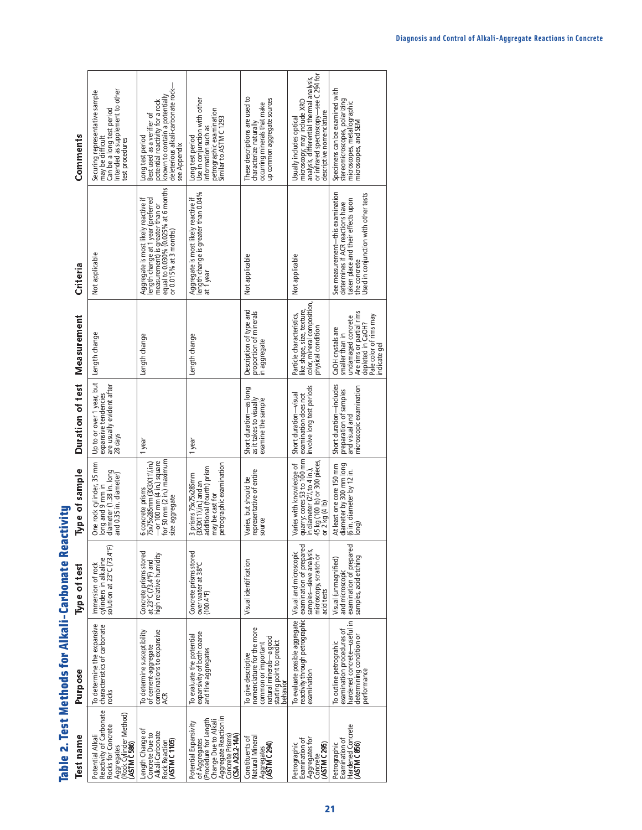| j       |
|---------|
|         |
|         |
|         |
|         |
|         |
|         |
|         |
|         |
|         |
|         |
|         |
|         |
|         |
|         |
|         |
|         |
|         |
|         |
| i       |
| i       |
| ı       |
|         |
|         |
|         |
|         |
|         |
|         |
|         |
|         |
|         |
|         |
|         |
| j       |
|         |
|         |
|         |
|         |
|         |
|         |
|         |
|         |
|         |
|         |
|         |
|         |
| ĺ       |
| ie<br>E |
| l       |
|         |
| ſ       |

**Ta**

| <b>Test name</b>                                                                                                                                       | Purpose                                                                                                                                     | Type of test                                                                                                         | Type of sample                                                                                                                                        | Duration of test                                                                               | Measurement                                                                                                                                          | Criteria                                                                                                                                                                       | Comments                                                                                                                                                                  |
|--------------------------------------------------------------------------------------------------------------------------------------------------------|---------------------------------------------------------------------------------------------------------------------------------------------|----------------------------------------------------------------------------------------------------------------------|-------------------------------------------------------------------------------------------------------------------------------------------------------|------------------------------------------------------------------------------------------------|------------------------------------------------------------------------------------------------------------------------------------------------------|--------------------------------------------------------------------------------------------------------------------------------------------------------------------------------|---------------------------------------------------------------------------------------------------------------------------------------------------------------------------|
| Reactivity of Carbonate<br>(Rock Cylinder Method)<br>( <b>ASTM C 586</b> )<br>Rocks for Concrete<br>Potential Alkali<br>Aggregates                     | To determine the expansive<br>characteristics of carbonate<br>rocks                                                                         | solution at 23°C (73.4°F)<br>cylinders in alkaline<br>Immersion of rock                                              | One rock cylinder, 35 mm<br>diameter (1.38 in. long<br>and 0.35 in. diameter)<br>long and 9 mm in                                                     | Up to or over 1 year, but<br>are usually evident after<br>expansive tendencies<br>28 days      | Length change                                                                                                                                        | Not applicable                                                                                                                                                                 | Intended as supplement to other<br>Securing representative sample<br>Can be a long test period<br>may be difficult<br>test procedures                                     |
| Length Change of<br>Concrete Due to<br>Alkali-Carbonate<br>ASTM C1105)<br><b>Rock Reaction</b>                                                         | combinations to expansive<br>To determine susceptibility<br>of cement-aggregate                                                             | Concrete prisms stored<br>at 23°C (73.4°F) and<br>high relative humidity                                             | for 50 mm (2 in.) maximum<br>$-$ or 100 mm $(4 \text{ in.})$ square<br>75x75x285mm (3X3X111/in.)<br>6 concrete prisms<br>size aggregate               | 1 year                                                                                         | Length change                                                                                                                                        | measurement) is greater than or<br>equal to 0.030% (0.025% at 6 months<br>Aggregate is most likely reactive if<br>length change at 1 year (preferred<br>or 0.015% at 3 months) | deleterious alkali-carbonate rock-<br>known to contain a potentially<br>potential reactivity for a rock<br>Best used as a verifier of<br>Long test period<br>see Appendix |
| Aggregate Reaction in<br>(Procedure for Length<br>Change Due to Alkal<br>Potential Expansivity<br>Concrete Prisms)<br>(CSA A23.2 14A)<br>of Aggregates | expansivity of both coarse<br>To evaluate the potential<br>and fine aggregates                                                              | Concrete prisms stored<br>over water at 38°C<br>(100.4°F)                                                            | petrographic examination<br>additional (fourth) prism<br>3 prisms 75x75x285mm<br>3X3X11%in.) and an<br>may be cast for                                | 1 year                                                                                         | Length change                                                                                                                                        | length change is greater than 0.04%<br>Aggregate is most likely reactive if<br>at 1 year                                                                                       | Long test period<br>Use in conjunction with other<br>petrographic examination<br>Similar to ASTM C 1293<br>information such as                                            |
| Natural Mineral<br>Constituents of<br>Aggregates<br>(ASTM C 294)                                                                                       | nomenclature for the more<br>natural minerals-a good<br>starting point to predict<br>common or important<br>To give descriptive<br>behavior | Visual identification                                                                                                | representative of entire<br>Varies, but should be<br>source                                                                                           | Short duration-as long<br>as it takes to visually<br>examine the sample                        | Description of type and<br>proportion of minerals<br>in aggregate                                                                                    | Not applicable                                                                                                                                                                 | These descriptions are used to<br>up common aggregate sources<br>occurring minerals that make<br>characterize naturally                                                   |
| Aggregates for<br>Examination of<br>ASTM C 295)<br>Petrographic<br>Concrete                                                                            | reactivity through petrographic<br>To evaluate possible aggregate<br>examination                                                            | examination of prepared<br>samples-sieve analysis,<br>Visual and microscopic<br>microscopy, scratch or<br>acid tests | quarry: cores 53 to 100 mm<br>45 kg (100 lb) or 300 pieces,<br>or 2 kg (4 lb)<br>Varies with knowledge of<br>in diameter (21/ <sub>8</sub> to 4 in.), | involve long test periods<br>Short duration-visual<br>examination does not                     | color, mineral composition,<br>ike shape, size, texture,<br>Particle characteristics,<br>ohysical condition                                          | Not applicable                                                                                                                                                                 | or infrared spectoscopy-see C 294 for<br>analysis, differential thermal analysis,<br>microscopy; may include XRD<br>descriptive nomenclature<br>Usually includes optical  |
| Hardened Concrete<br>Examination of<br>(ASTM C856)<br>Petrographic                                                                                     | hardened concrete-useful in<br>examination procedures of<br>determining condition or<br>To outline petrograhic<br>performance               | examination of prepared<br>samples, acid etching<br>Visual (unmagnified)<br>and microscopic                          | diameter by 300 mm long<br>At least one core 150 mm<br>(6 in. diameter by 12 in.                                                                      | Short duration—includes<br>microscopic examination<br>preparation of samples<br>and visual and | Are rims or partial rims<br>Pale color of rims may<br>undamaged concrete<br>depleted in CaOH?<br>CaOH crystals are<br>smaller than in<br>ndicate gel | See measurement—this examination<br>Jsed in conjunction with other tests<br>taken place and their effects upon<br>determines if ACR reactions have<br>the concrete             | Specimens can be examined with<br>stereomicroscopes, polarizing<br>microscopes, metallographic<br>microscopes, and SEM                                                    |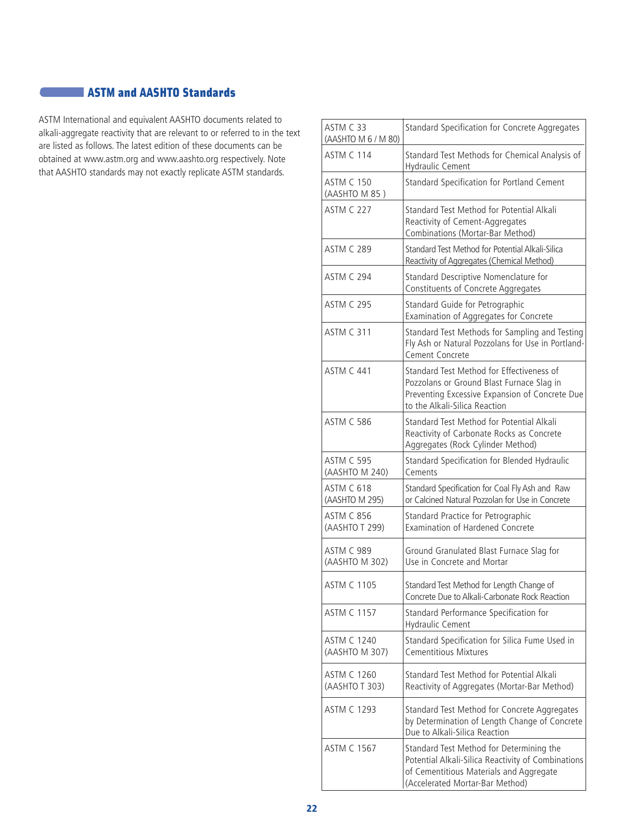# **ASTM and AASHTO Standards**

ASTM International and equivalent AASHTO documents related to alkali-aggregate reactivity that are relevant to or referred to in the text are listed as follows. The latest edition of these documents can be obtained at www.astm.org and www.aashto.org respectively. Note that AASHTO standards may not exactly replicate ASTM standards.

| ASTM C 33<br>(AASHTO M 6 / M 80)     | Standard Specification for Concrete Aggregates                                                                                                                               |
|--------------------------------------|------------------------------------------------------------------------------------------------------------------------------------------------------------------------------|
| ASTM C 114                           | Standard Test Methods for Chemical Analysis of<br><b>Hydraulic Cement</b>                                                                                                    |
| ASTM C 150<br>(AASHTO M 85)          | Standard Specification for Portland Cement                                                                                                                                   |
| <b>ASTM C 227</b>                    | Standard Test Method for Potential Alkali<br>Reactivity of Cement-Aggregates<br>Combinations (Mortar-Bar Method)                                                             |
| <b>ASTM C 289</b>                    | Standard Test Method for Potential Alkali-Silica<br>Reactivity of Aggregates (Chemical Method)                                                                               |
| <b>ASTM C 294</b>                    | Standard Descriptive Nomenclature for<br>Constituents of Concrete Aggregates                                                                                                 |
| <b>ASTM C 295</b>                    | Standard Guide for Petrographic<br>Examination of Aggregates for Concrete                                                                                                    |
| <b>ASTM C 311</b>                    | Standard Test Methods for Sampling and Testing<br>Fly Ash or Natural Pozzolans for Use in Portland-<br>Cement Concrete                                                       |
| <b>ASTM C 441</b>                    | Standard Test Method for Effectiveness of<br>Pozzolans or Ground Blast Furnace Slag in<br>Preventing Excessive Expansion of Concrete Due<br>to the Alkali-Silica Reaction    |
| <b>ASTM C 586</b>                    | Standard Test Method for Potential Alkali<br>Reactivity of Carbonate Rocks as Concrete<br>Aggregates (Rock Cylinder Method)                                                  |
| <b>ASTM C 595</b><br>(AASHTO M 240)  | Standard Specification for Blended Hydraulic<br>Cements                                                                                                                      |
| ASTM C 618<br>(AASHTO M 295)         | Standard Specification for Coal Fly Ash and Raw<br>or Calcined Natural Pozzolan for Use in Concrete                                                                          |
| <b>ASTM C 856</b><br>(AASHTO T 299)  | Standard Practice for Petrographic<br><b>Examination of Hardened Concrete</b>                                                                                                |
| ASTM C 989<br>(AASHTO M 302)         | Ground Granulated Blast Furnace Slag for<br>Use in Concrete and Mortar                                                                                                       |
| <b>ASTM C 1105</b>                   | Standard Test Method for Length Change of<br>Concrete Due to Alkali-Carbonate Rock Reaction                                                                                  |
| <b>ASTM C 1157</b>                   | Standard Performance Specification for<br>Hydraulic Cement                                                                                                                   |
| <b>ASTM C 1240</b><br>(AASHTO M 307) | Standard Specification for Silica Fume Used in<br><b>Cementitious Mixtures</b>                                                                                               |
| ASTM C 1260<br>(AASHTO T 303)        | Standard Test Method for Potential Alkali<br>Reactivity of Aggregates (Mortar-Bar Method)                                                                                    |
| <b>ASTM C 1293</b>                   | Standard Test Method for Concrete Aggregates<br>by Determination of Length Change of Concrete<br>Due to Alkali-Silica Reaction                                               |
| <b>ASTM C 1567</b>                   | Standard Test Method for Determining the<br>Potential Alkali-Silica Reactivity of Combinations<br>of Cementitious Materials and Aggregate<br>(Accelerated Mortar-Bar Method) |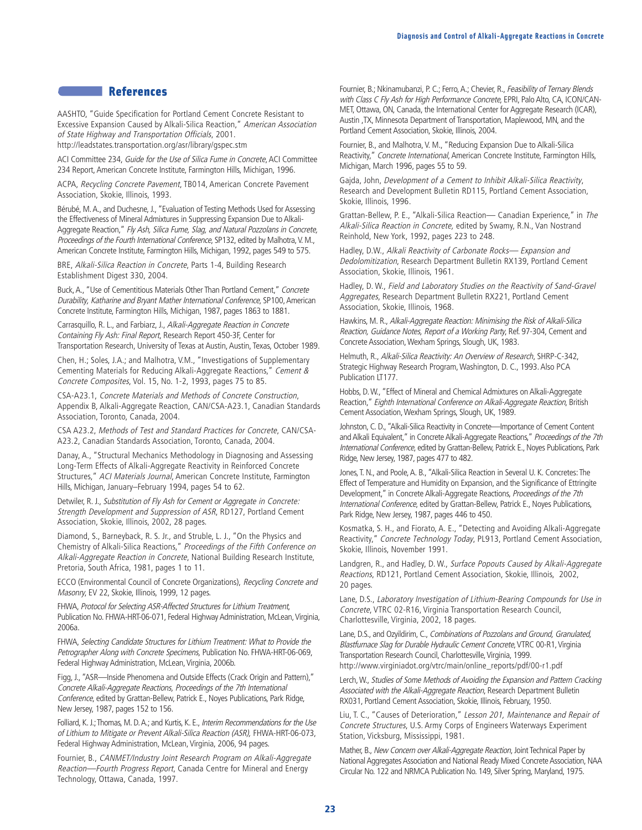## **References**

AASHTO, "Guide Specification for Portland Cement Concrete Resistant to Excessive Expansion Caused by Alkali-Silica Reaction," American Association of State Highway and Transportation Officials, 2001. http://leadstates.transportation.org/asr/library/gspec.stm

ACI Committee 234, Guide for the Use of Silica Fume in Concrete, ACI Committee 234 Report, American Concrete Institute, Farmington Hills, Michigan, 1996.

ACPA, Recycling Concrete Pavement, TB014, American Concrete Pavement Association, Skokie, Illinois, 1993.

Bérubé, M.A., and Duchesne, J., "Evaluation of Testing Methods Used for Assessing the Effectiveness of Mineral Admixtures in Suppressing Expansion Due to Alkali-Aggregate Reaction," Fly Ash, Silica Fume, Slag, and Natural Pozzolans in Concrete, Proceedings of the Fourth International Conference, SP132, edited by Malhotra, V. M., American Concrete Institute, Farmington Hills, Michigan, 1992, pages 549 to 575.

BRE, Alkali-Silica Reaction in Concrete, Parts 1-4, Building Research Establishment Digest 330, 2004.

Buck,A., "Use of Cementitious Materials Other Than Portland Cement," Concrete Durability, Katharine and Bryant Mather International Conference, SP100, American Concrete Institute, Farmington Hills, Michigan, 1987, pages 1863 to 1881.

Carrasquillo, R. L., and Farbiarz, J., Alkali-Aggregate Reaction in Concrete Containing Fly Ash: Final Report, Research Report 450-3F, Center for Transportation Research, University of Texas at Austin, Austin, Texas, October 1989.

Chen, H.; Soles, J.A.; and Malhotra, V.M., "Investigations of Supplementary Cementing Materials for Reducing Alkali-Aggregate Reactions," Cement & Concrete Composites, Vol. 15, No. 1-2, 1993, pages 75 to 85.

CSA-A23.1, Concrete Materials and Methods of Concrete Construction, Appendix B, Alkali-Aggregate Reaction, CAN/CSA-A23.1, Canadian Standards Association, Toronto, Canada, 2004.

CSA A23.2, Methods of Test and Standard Practices for Concrete, CAN/CSA-A23.2, Canadian Standards Association, Toronto, Canada, 2004.

Danay, A., "Structural Mechanics Methodology in Diagnosing and Assessing Long-Term Effects of Alkali-Aggregate Reactivity in Reinforced Concrete Structures," ACI Materials Journal, American Concrete Institute, Farmington Hills, Michigan, January–February 1994, pages 54 to 62.

Detwiler, R. J., Substitution of Fly Ash for Cement or Aggregate in Concrete: Strength Development and Suppression of ASR, RD127, Portland Cement Association, Skokie, Illinois, 2002, 28 pages.

Diamond, S., Barneyback, R. S. Jr., and Struble, L. J., "On the Physics and Chemistry of Alkali-Silica Reactions," Proceedings of the Fifth Conference on Alkali-Aggregate Reaction in Concrete, National Building Research Institute, Pretoria, South Africa, 1981, pages 1 to 11.

ECCO (Environmental Council of Concrete Organizations), Recycling Concrete and Masonry, EV 22, Skokie, Illinois, 1999, 12 pages.

FHWA, Protocol for Selecting ASR-Affected Structures for Lithium Treatment, Publication No. FHWA-HRT-06-071, Federal Highway Administration, McLean, Virginia, 2006a.

FHWA, Selecting Candidate Structures for Lithium Treatment: What to Provide the Petrographer Along with Concrete Specimens, Publication No. FHWA-HRT-06-069, Federal Highway Administration, McLean, Virginia, 2006b.

Figg, J., "ASR—Inside Phenomena and Outside Effects (Crack Origin and Pattern)," Concrete Alkali-Aggregate Reactions, Proceedings of the 7th International Conference, edited by Grattan-Bellew, Patrick E., Noyes Publications, Park Ridge, New Jersey, 1987, pages 152 to 156.

Folliard, K. J.; Thomas, M. D. A.; and Kurtis, K. E., Interim Recommendations for the Use of Lithium to Mitigate or Prevent Alkali-Silica Reaction (ASR), FHWA-HRT-06-073, Federal Highway Administration, McLean, Virginia, 2006, 94 pages.

Fournier, B., CANMET/Industry Joint Research Program on Alkali-Aggregate Reaction—Fourth Progress Report, Canada Centre for Mineral and Energy Technology, Ottawa, Canada, 1997.

Fournier, B.; Nkinamubanzi, P. C.; Ferro, A.; Chevier, R., Feasibility of Ternary Blends with Class C Fly Ash for High Performance Concrete, EPRI, Palo Alto, CA, ICON/CAN-MET, Ottawa, ON, Canada, the International Center for Aggregate Research (ICAR), Austin ,TX, Minnesota Department of Transportation, Maplewood, MN, and the Portland Cement Association, Skokie, Illinois, 2004.

Fournier, B., and Malhotra, V. M., "Reducing Expansion Due to Alkali-Silica Reactivity," Concrete International, American Concrete Institute, Farmington Hills, Michigan, March 1996, pages 55 to 59.

Gajda, John, Development of a Cement to Inhibit Alkali-Silica Reactivity, Research and Development Bulletin RD115, Portland Cement Association, Skokie, Illinois, 1996.

Grattan-Bellew, P. E., "Alkali-Silica Reaction— Canadian Experience," in The Alkali-Silica Reaction in Concrete, edited by Swamy, R.N., Van Nostrand Reinhold, New York, 1992, pages 223 to 248.

Hadley, D.W., Alkali Reactivity of Carbonate Rocks— Expansion and Dedolomitization, Research Department Bulletin RX139, Portland Cement Association, Skokie, Illinois, 1961.

Hadley, D. W., Field and Laboratory Studies on the Reactivity of Sand-Gravel Aggregates, Research Department Bulletin RX221, Portland Cement Association, Skokie, Illinois, 1968.

Hawkins, M. R., Alkali-Aggregate Reaction: Minimising the Risk of Alkali-Silica Reaction, Guidance Notes, Report of a Working Party, Ref. 97-304, Cement and Concrete Association,Wexham Springs, Slough, UK, 1983.

Helmuth, R., Alkali-Silica Reactivity: An Overview of Research, SHRP-C-342, Strategic Highway Research Program, Washington, D. C., 1993. Also PCA Publication LT177.

Hobbs, D.W., "Effect of Mineral and Chemical Admixtures on Alkali-Aggregate Reaction," Eighth International Conference on Alkali-Aggregate Reaction, British Cement Association,Wexham Springs, Slough, UK, 1989.

Johnston, C. D.,"Alkali-Silica Reactivity in Concrete—Importance of Cement Content and Alkali Equivalent," in Concrete Alkali-Aggregate Reactions," Proceedings of the 7th International Conference, edited by Grattan-Bellew, Patrick E., Noyes Publications, Park Ridge, New Jersey, 1987, pages 477 to 482.

Jones, T. N., and Poole, A. B., "Alkali-Silica Reaction in Several U. K. Concretes: The Effect of Temperature and Humidity on Expansion, and the Significance of Ettringite Development," in Concrete Alkali-Aggregate Reactions, Proceedings of the 7th International Conference, edited by Grattan-Bellew, Patrick E., Noyes Publications, Park Ridge, New Jersey, 1987, pages 446 to 450.

Kosmatka, S. H., and Fiorato, A. E., "Detecting and Avoiding Alkali-Aggregate Reactivity," Concrete Technology Today, PL913, Portland Cement Association, Skokie, Illinois, November 1991.

Landgren, R., and Hadley, D. W., Surface Popouts Caused by Alkali-Aggregate Reactions, RD121, Portland Cement Association, Skokie, Illinois, 2002, 20 pages.

Lane, D.S., Laboratory Investigation of Lithium-Bearing Compounds for Use in Concrete, VTRC 02-R16, Virginia Transportation Research Council, Charlottesville, Virginia, 2002, 18 pages.

Lane, D.S., and Ozyildirim, C., Combinations of Pozzolans and Ground, Granulated, Blastfurnace Slag for Durable Hydraulic Cement Concrete, VTRC 00-R1, Virginia Transportation Research Council, Charlottesville, Virginia, 1999. http://www.virginiadot.org/vtrc/main/online\_reports/pdf/00-r1.pdf

Lerch, W., Studies of Some Methods of Avoiding the Expansion and Pattern Cracking Associated with the Alkali-Aggregate Reaction, Research Department Bulletin RX031, Portland Cement Association, Skokie, Illinois, February, 1950.

Liu, T. C., "Causes of Deterioration," Lesson 201, Maintenance and Repair of Concrete Structures, U.S. Army Corps of Engineers Waterways Experiment Station, Vicksburg, Mississippi, 1981.

Mather, B., New Concern over Alkali-Aggregate Reaction, Joint Technical Paper by National Aggregates Association and National Ready Mixed Concrete Association, NAA Circular No. 122 and NRMCA Publication No. 149, Silver Spring, Maryland, 1975.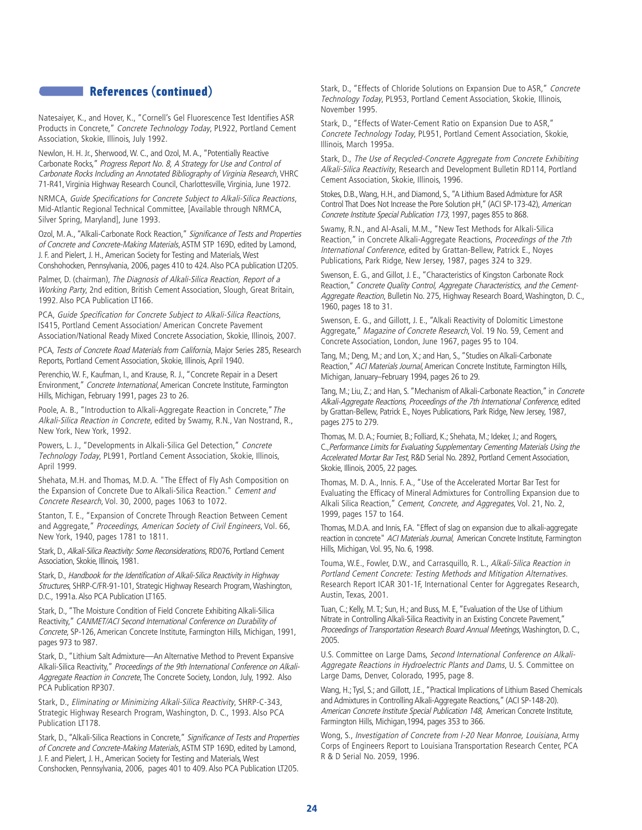# **References (continued)**

Natesaiyer, K., and Hover, K., "Cornell's Gel Fluorescence Test Identifies ASR Products in Concrete," Concrete Technology Today, PL922, Portland Cement Association, Skokie, Illinois, July 1992.

Newlon, H. H. Jr., Sherwood, W. C., and Ozol, M. A., "Potentially Reactive Carbonate Rocks," Progress Report No. 8, A Strategy for Use and Control of Carbonate Rocks Including an Annotated Bibliography of Virginia Research, VHRC 71-R41, Virginia Highway Research Council, Charlottesville, Virginia, June 1972.

NRMCA, Guide Specifications for Concrete Subject to Alkali-Silica Reactions, Mid-Atlantic Regional Technical Committee, [Available through NRMCA, Silver Spring, Maryland], June 1993.

Ozol, M. A., "Alkali-Carbonate Rock Reaction," Significance of Tests and Properties of Concrete and Concrete-Making Materials, ASTM STP 169D, edited by Lamond, J. F. and Pielert, J. H., American Society for Testing and Materials, West Conshohocken, Pennsylvania, 2006, pages 410 to 424.Also PCA publication LT205.

Palmer, D. (chairman), The Diagnosis of Alkali-Silica Reaction, Report of a Working Party, 2nd edition, British Cement Association, Slough, Great Britain, 1992. Also PCA Publication LT166.

PCA, Guide Specification for Concrete Subject to Alkali-Silica Reactions, IS415, Portland Cement Association/ American Concrete Pavement Association/National Ready Mixed Concrete Association, Skokie, Illinois, 2007.

PCA, Tests of Concrete Road Materials from California, Major Series 285, Research Reports, Portland Cement Association, Skokie, Illinois, April 1940.

Perenchio, W. F., Kaufman, I., and Krause, R. J., "Concrete Repair in a Desert Environment," Concrete International, American Concrete Institute, Farmington Hills, Michigan, February 1991, pages 23 to 26.

Poole, A. B., "Introduction to Alkali-Aggregate Reaction in Concrete," The Alkali-Silica Reaction in Concrete, edited by Swamy, R.N., Van Nostrand, R., New York, New York, 1992.

Powers, L. J., "Developments in Alkali-Silica Gel Detection," Concrete Technology Today, PL991, Portland Cement Association, Skokie, Illinois, April 1999.

Shehata, M.H. and Thomas, M.D. A. "The Effect of Fly Ash Composition on the Expansion of Concrete Due to Alkali-Silica Reaction." Cement and Concrete Research, Vol. 30, 2000, pages 1063 to 1072.

Stanton, T. E., "Expansion of Concrete Through Reaction Between Cement and Aggregate," Proceedings, American Society of Civil Engineers, Vol. 66, New York, 1940, pages 1781 to 1811.

Stark, D., Alkali-Silica Reactivity: Some Reconsiderations, RD076, Portland Cement Association, Skokie, Illinois, 1981.

Stark, D., Handbook for the Identification of Alkali-Silica Reactivity in Highway Structures, SHRP-C/FR-91-101, Strategic Highway Research Program, Washington, D.C., 1991a. Also PCA Publication LT165.

Stark, D., "The Moisture Condition of Field Concrete Exhibiting Alkali-Silica Reactivity," CANMET/ACI Second International Conference on Durability of Concrete, SP-126, American Concrete Institute, Farmington Hills, Michigan, 1991, pages 973 to 987.

Stark, D., "Lithium Salt Admixture—An Alternative Method to Prevent Expansive Alkali-Silica Reactivity," Proceedings of the 9th International Conference on Alkali-Aggregate Reaction in Concrete, The Concrete Society, London, July, 1992. Also PCA Publication RP307.

Stark, D., Eliminating or Minimizing Alkali-Silica Reactivity, SHRP-C-343, Strategic Highway Research Program, Washington, D. C., 1993. Also PCA Publication LT178.

Stark, D., "Alkali-Silica Reactions in Concrete," Significance of Tests and Properties of Concrete and Concrete-Making Materials, ASTM STP 169D, edited by Lamond, J. F. and Pielert, J. H., American Society for Testing and Materials, West Conshocken, Pennsylvania, 2006, pages 401 to 409. Also PCA Publication LT205.

Stark, D., "Effects of Chloride Solutions on Expansion Due to ASR," Concrete Technology Today, PL953, Portland Cement Association, Skokie, Illinois, November 1995.

Stark, D., "Effects of Water-Cement Ratio on Expansion Due to ASR," Concrete Technology Today, PL951, Portland Cement Association, Skokie, Illinois, March 1995a.

Stark, D., The Use of Recycled-Concrete Aggregate from Concrete Exhibiting Alkali-Silica Reactivity, Research and Development Bulletin RD114, Portland Cement Association, Skokie, Illinois, 1996.

Stokes, D.B.,Wang, H.H., and Diamond, S., "A Lithium Based Admixture for ASR Control That Does Not Increase the Pore Solution pH," (ACI SP-173-42), American Concrete Institute Special Publication 173, 1997, pages 855 to 868.

Swamy, R.N., and Al-Asali, M.M., "New Test Methods for Alkali-Silica Reaction," in Concrete Alkali-Aggregate Reactions, Proceedings of the 7th International Conference, edited by Grattan-Bellew, Patrick E., Noyes Publications, Park Ridge, New Jersey, 1987, pages 324 to 329.

Swenson, E. G., and Gillot, J. E., "Characteristics of Kingston Carbonate Rock Reaction," Concrete Quality Control, Aggregate Characteristics, and the Cement-Aggregate Reaction, Bulletin No. 275, Highway Research Board, Washington, D. C., 1960, pages 18 to 31.

Swenson, E. G., and Gillott, J. E., "Alkali Reactivity of Dolomitic Limestone Aggregate," Magazine of Concrete Research, Vol. 19 No. 59, Cement and Concrete Association, London, June 1967, pages 95 to 104.

Tang, M.; Deng, M.; and Lon, X.; and Han, S., "Studies on Alkali-Carbonate Reaction," ACI Materials Journal, American Concrete Institute, Farmington Hills, Michigan, January–February 1994, pages 26 to 29.

Tang, M.; Liu, Z.; and Han, S. "Mechanism of Alkali-Carbonate Reaction," in Concrete Alkali-Aggregate Reactions, Proceedings of the 7th International Conference, edited by Grattan-Bellew, Patrick E., Noyes Publications, Park Ridge, New Jersey, 1987, pages 275 to 279.

Thomas, M. D.A.; Fournier, B.; Folliard, K.; Shehata, M.; Ideker, J.; and Rogers, C.,Performance Limits for Evaluating Supplementary Cementing Materials Using the Accelerated Mortar Bar Test, R&D Serial No. 2892, Portland Cement Association, Skokie, Illinois, 2005, 22 pages.

Thomas, M. D. A., Innis. F. A., "Use of the Accelerated Mortar Bar Test for Evaluating the Efficacy of Mineral Admixtures for Controlling Expansion due to Alkali Silica Reaction," Cement, Concrete, and Aggregates, Vol. 21, No. 2, 1999, pages 157 to 164.

Thomas, M.D.A. and Innis, F.A. "Effect of slag on expansion due to alkali-aggregate reaction in concrete" ACI Materials Journal, American Concrete Institute, Farmington Hills, Michigan, Vol. 95, No. 6, 1998.

Touma, W.E., Fowler, D.W., and Carrasquillo, R. L., Alkali-Silica Reaction in Portland Cement Concrete: Testing Methods and Mitigation Alternatives. Research Report ICAR 301-1F, International Center for Aggregates Research, Austin, Texas, 2001.

Tuan, C.; Kelly, M.T.; Sun, H.; and Buss, M. E, "Evaluation of the Use of Lithium Nitrate in Controlling Alkali-Silica Reactivity in an Existing Concrete Pavement," Proceedings of Transportation Research Board Annual Meetings, Washington, D. C., 2005.

U.S. Committee on Large Dams, Second International Conference on Alkali-Aggregate Reactions in Hydroelectric Plants and Dams, U. S. Committee on Large Dams, Denver, Colorado, 1995, page 8.

Wang, H.; Tysl, S.; and Gillott, J.E., "Practical Implications of Lithium Based Chemicals and Admixtures in Controlling Alkali-Aggregate Reactions," (ACI SP-148-20). American Concrete Institute Special Publication 148, American Concrete Institute, Farmington Hills, Michigan,1994, pages 353 to 366.

Wong, S., Investigation of Concrete from I-20 Near Monroe, Louisiana, Army Corps of Engineers Report to Louisiana Transportation Research Center, PCA R & D Serial No. 2059, 1996.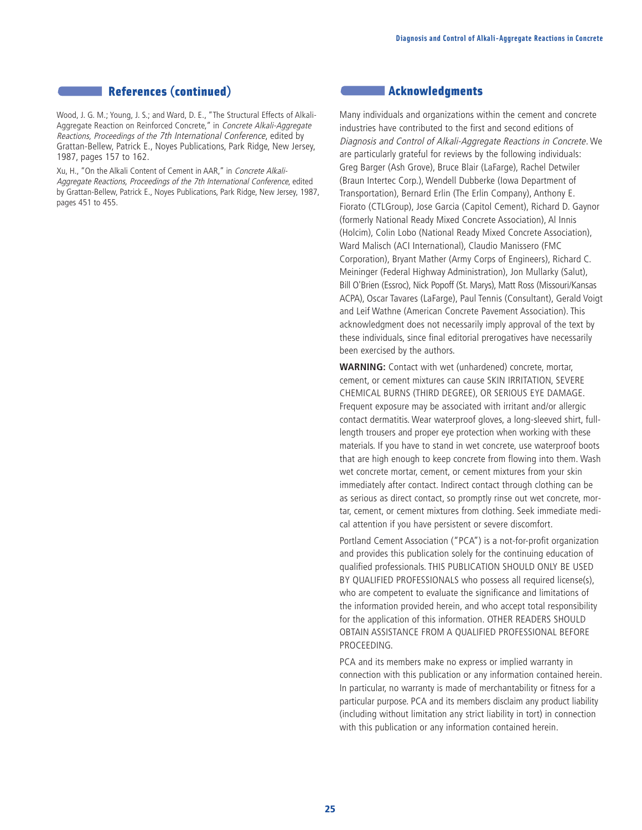## **References (continued)**

Wood, J. G. M.; Young, J. S.; and Ward, D. E., "The Structural Effects of Alkali-Aggregate Reaction on Reinforced Concrete," in Concrete Alkali-Aggregate Reactions, Proceedings of the 7th International Conference, edited by Grattan-Bellew, Patrick E., Noyes Publications, Park Ridge, New Jersey, 1987, pages 157 to 162.

Xu, H., "On the Alkali Content of Cement in AAR," in Concrete Alkali-Aggregate Reactions, Proceedings of the 7th International Conference, edited by Grattan-Bellew, Patrick E., Noyes Publications, Park Ridge, New Jersey, 1987, pages 451 to 455.

#### **Acknowledgments**

Many individuals and organizations within the cement and concrete industries have contributed to the first and second editions of Diagnosis and Control of Alkali-Aggregate Reactions in Concrete. We are particularly grateful for reviews by the following individuals: Greg Barger (Ash Grove), Bruce Blair (LaFarge), Rachel Detwiler (Braun Intertec Corp.), Wendell Dubberke (Iowa Department of Transportation), Bernard Erlin (The Erlin Company), Anthony E. Fiorato (CTLGroup), Jose Garcia (Capitol Cement), Richard D. Gaynor (formerly National Ready Mixed Concrete Association), Al Innis (Holcim), Colin Lobo (National Ready Mixed Concrete Association), Ward Malisch (ACI International), Claudio Manissero (FMC Corporation), Bryant Mather (Army Corps of Engineers), Richard C. Meininger (Federal Highway Administration), Jon Mullarky (Salut), Bill O'Brien (Essroc), Nick Popoff (St. Marys), Matt Ross (Missouri/Kansas ACPA), Oscar Tavares (LaFarge), Paul Tennis (Consultant), Gerald Voigt and Leif Wathne (American Concrete Pavement Association). This acknowledgment does not necessarily imply approval of the text by these individuals, since final editorial prerogatives have necessarily been exercised by the authors.

**WARNING:** Contact with wet (unhardened) concrete, mortar, cement, or cement mixtures can cause SKIN IRRITATION, SEVERE CHEMICAL BURNS (THIRD DEGREE), OR SERIOUS EYE DAMAGE. Frequent exposure may be associated with irritant and/or allergic contact dermatitis. Wear waterproof gloves, a long-sleeved shirt, fulllength trousers and proper eye protection when working with these materials. If you have to stand in wet concrete, use waterproof boots that are high enough to keep concrete from flowing into them. Wash wet concrete mortar, cement, or cement mixtures from your skin immediately after contact. Indirect contact through clothing can be as serious as direct contact, so promptly rinse out wet concrete, mortar, cement, or cement mixtures from clothing. Seek immediate medical attention if you have persistent or severe discomfort.

Portland Cement Association ("PCA") is a not-for-profit organization and provides this publication solely for the continuing education of qualified professionals. THIS PUBLICATION SHOULD ONLY BE USED BY QUALIFIED PROFESSIONALS who possess all required license(s), who are competent to evaluate the significance and limitations of the information provided herein, and who accept total responsibility for the application of this information. OTHER READERS SHOULD OBTAIN ASSISTANCE FROM A QUALIFIED PROFESSIONAL BEFORE PROCEEDING.

PCA and its members make no express or implied warranty in connection with this publication or any information contained herein. In particular, no warranty is made of merchantability or fitness for a particular purpose. PCA and its members disclaim any product liability (including without limitation any strict liability in tort) in connection with this publication or any information contained herein.